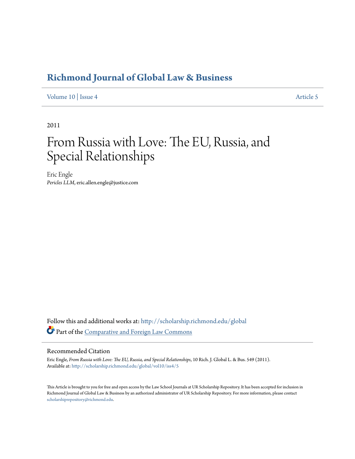# **[Richmond Journal of Global Law & Business](http://scholarship.richmond.edu/global?utm_source=scholarship.richmond.edu%2Fglobal%2Fvol10%2Fiss4%2F5&utm_medium=PDF&utm_campaign=PDFCoverPages)**

[Volume 10](http://scholarship.richmond.edu/global/vol10?utm_source=scholarship.richmond.edu%2Fglobal%2Fvol10%2Fiss4%2F5&utm_medium=PDF&utm_campaign=PDFCoverPages) | [Issue 4](http://scholarship.richmond.edu/global/vol10/iss4?utm_source=scholarship.richmond.edu%2Fglobal%2Fvol10%2Fiss4%2F5&utm_medium=PDF&utm_campaign=PDFCoverPages) [Article 5](http://scholarship.richmond.edu/global/vol10/iss4/5?utm_source=scholarship.richmond.edu%2Fglobal%2Fvol10%2Fiss4%2F5&utm_medium=PDF&utm_campaign=PDFCoverPages)

2011

# From Russia with Love: The EU, Russia, and Special Relationships

Eric Engle *Pericles LLM*, eric.allen.engle@justice.com

Follow this and additional works at: [http://scholarship.richmond.edu/global](http://scholarship.richmond.edu/global?utm_source=scholarship.richmond.edu%2Fglobal%2Fvol10%2Fiss4%2F5&utm_medium=PDF&utm_campaign=PDFCoverPages) Part of the [Comparative and Foreign Law Commons](http://network.bepress.com/hgg/discipline/836?utm_source=scholarship.richmond.edu%2Fglobal%2Fvol10%2Fiss4%2F5&utm_medium=PDF&utm_campaign=PDFCoverPages)

# Recommended Citation

Eric Engle, *From Russia with Love: The EU, Russia, and Special Relationships*, 10 Rich. J. Global L. & Bus. 549 (2011). Available at: [http://scholarship.richmond.edu/global/vol10/iss4/5](http://scholarship.richmond.edu/global/vol10/iss4/5?utm_source=scholarship.richmond.edu%2Fglobal%2Fvol10%2Fiss4%2F5&utm_medium=PDF&utm_campaign=PDFCoverPages)

This Article is brought to you for free and open access by the Law School Journals at UR Scholarship Repository. It has been accepted for inclusion in Richmond Journal of Global Law & Business by an authorized administrator of UR Scholarship Repository. For more information, please contact [scholarshiprepository@richmond.edu.](mailto:scholarshiprepository@richmond.edu)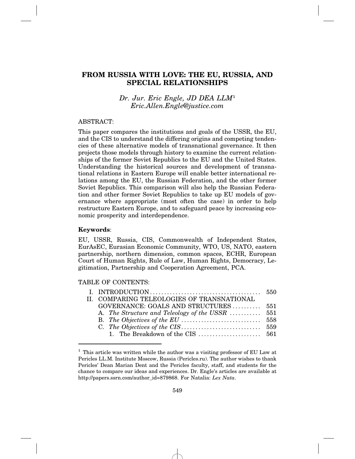# **FROM RUSSIA WITH LOVE: THE EU, RUSSIA, AND SPECIAL RELATIONSHIPS**

# *Dr. Jur. Eric Engle, JD DEA LLM*<sup>1</sup> *Eric.Allen.Engle@justice.com*

#### ABSTRACT:

This paper compares the institutions and goals of the USSR, the EU, and the CIS to understand the differing origins and competing tendencies of these alternative models of transnational governance. It then projects those models through history to examine the current relationships of the former Soviet Republics to the EU and the United States. Understanding the historical sources and development of transnational relations in Eastern Europe will enable better international relations among the EU, the Russian Federation, and the other former Soviet Republics. This comparison will also help the Russian Federation and other former Soviet Republics to take up EU models of governance where appropriate (most often the case) in order to help restructure Eastern Europe, and to safeguard peace by increasing economic prosperity and interdependence.

# **Keywords**:

EU, USSR, Russia, CIS, Commonwealth of Independent States, EurAsEC, Eurasian Economic Community, WTO, US, NATO, eastern partnership, northern dimension, common spaces, ECHR, European Court of Human Rights, Rule of Law, Human Rights, Democracy, Legitimation, Partnership and Cooperation Agreement, PCA.

#### TABLE OF CONTENTS:

| II. COMPARING TELEOLOGIES OF TRANSNATIONAL      |  |
|-------------------------------------------------|--|
| GOVERNANCE: GOALS AND STRUCTURES 551            |  |
| A. The Structure and Teleology of the USSR  551 |  |
|                                                 |  |
|                                                 |  |
|                                                 |  |

<sup>&</sup>lt;sup>1</sup> This article was written while the author was a visiting professor of EU Law at Pericles LL.M. Institute Moscow, Russia (Pericles.ru). The author wishes to thank Pericles' Dean Marian Dent and the Pericles faculty, staff, and students for the chance to compare our ideas and experiences. Dr. Engle's articles are available at http://papers.ssrn.com/author\_id=879868. For Natalia: *Lex Nata*.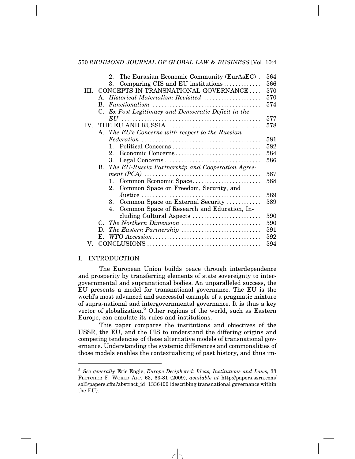|     |                                                  | The Eurasian Economic Community (EurAsEC).<br>$2^{\circ}$                                                  | 564 |  |  |  |
|-----|--------------------------------------------------|------------------------------------------------------------------------------------------------------------|-----|--|--|--|
|     |                                                  | Comparing CIS and EU institutions<br>3.                                                                    | 566 |  |  |  |
| HL. | CONCEPTS IN TRANSNATIONAL GOVERNANCE<br>570      |                                                                                                            |     |  |  |  |
|     |                                                  | A. Historical Materialism Revisited                                                                        | 570 |  |  |  |
|     | В.                                               | $\textit{Function} \textit{align} \dots \dots \dots \dots \dots \dots \dots \dots \dots \dots \dots \dots$ | 574 |  |  |  |
|     |                                                  | C. Ex Post Legitimacy and Democratic Deficit in the                                                        |     |  |  |  |
|     |                                                  |                                                                                                            | 577 |  |  |  |
| IV. |                                                  |                                                                                                            | 578 |  |  |  |
|     | A. The EU's Concerns with respect to the Russian |                                                                                                            |     |  |  |  |
|     |                                                  |                                                                                                            | 581 |  |  |  |
|     |                                                  | Political Concerns<br>1.                                                                                   | 582 |  |  |  |
|     |                                                  | Economic Concerns<br>$2_{-}$                                                                               | 584 |  |  |  |
|     |                                                  | 3.                                                                                                         | 586 |  |  |  |
|     |                                                  | B. The EU-Russia Partnership and Cooperation Agree-                                                        |     |  |  |  |
|     |                                                  | $ment (PCA) \ldots \ldots \ldots \ldots \ldots \ldots \ldots \ldots \ldots \ldots \ldots \ldots \ldots$    | 587 |  |  |  |
|     |                                                  | Common Economic Space<br>1.                                                                                | 588 |  |  |  |
|     |                                                  | Common Space on Freedom, Security, and<br>$2_{-}$                                                          |     |  |  |  |
|     |                                                  |                                                                                                            | 589 |  |  |  |
|     |                                                  | Common Space on External Security<br>3.                                                                    | 589 |  |  |  |
|     |                                                  | Common Space of Research and Education, In-<br>$4_{\cdot}$                                                 |     |  |  |  |
|     |                                                  | cluding Cultural Aspects                                                                                   | 590 |  |  |  |
|     |                                                  | C. The Northern Dimension                                                                                  | 590 |  |  |  |
|     | D.                                               | The Eastern Partnership                                                                                    | 591 |  |  |  |
|     | E.                                               |                                                                                                            | 592 |  |  |  |
| V.  |                                                  |                                                                                                            | 594 |  |  |  |

## I. INTRODUCTION

The European Union builds peace through interdependence and prosperity by transferring elements of state sovereignty to intergovernmental and supranational bodies. An unparalleled success, the EU presents a model for transnational governance. The EU is the world's most advanced and successful example of a pragmatic mixture of supra-national and intergovernmental governance. It is thus a key vector of globalization.<sup>2</sup> Other regions of the world, such as Eastern Europe, can emulate its rules and institutions.

This paper compares the institutions and objectives of the USSR, the EU, and the CIS to understand the differing origins and competing tendencies of these alternative models of transnational governance. Understanding the systemic differences and commonalities of those models enables the contextualizing of past history, and thus im-

<sup>2</sup> *See generally* Eric Engle, *Europe Deciphered: Ideas, Institutions and Laws,* 33 FLETCHER F. WORLD AFF. 63, 63-81 (2009), *available at* http://papers.ssrn.com/ sol3/papers.cfm?abstract\_id=1336490 (describing transnational governance within the EU).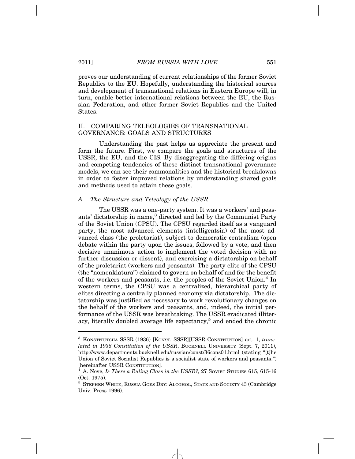proves our understanding of current relationships of the former Soviet Republics to the EU. Hopefully, understanding the historical sources and development of transnational relations in Eastern Europe will, in turn, enable better international relations between the EU, the Russian Federation, and other former Soviet Republics and the United **States** 

#### II. COMPARING TELEOLOGIES OF TRANSNATIONAL GOVERNANCE: GOALS AND STRUCTURES

Understanding the past helps us appreciate the present and form the future. First, we compare the goals and structures of the USSR, the EU, and the CIS. By disaggregating the differing origins and competing tendencies of these distinct transnational governance models, we can see their commonalities and the historical breakdowns in order to foster improved relations by understanding shared goals and methods used to attain these goals.

#### *A. The Structure and Teleology of the USSR*

The USSR was a one-party system. It was a workers' and peasants' dictatorship in name,<sup>3</sup> directed and led by the Communist Party of the Soviet Union (CPSU). The CPSU regarded itself as a vanguard party, the most advanced elements (intelligentsia) of the most advanced class (the proletariat), subject to democratic centralism (open debate within the party upon the issues, followed by a vote, and then decisive unanimous action to implement the voted decision with no further discussion or dissent), and exercising a dictatorship on behalf of the proletariat (workers and peasants). The party elite of the CPSU (the "nomenklatura") claimed to govern on behalf of and for the benefit of the workers and peasants, i.e. the peoples of the Soviet Union.<sup>4</sup> In western terms, the CPSU was a centralized, hierarchical party of elites directing a centrally planned economy via dictatorship. The dictatorship was justified as necessary to work revolutionary changes on the behalf of the workers and peasants, and, indeed, the initial performance of the USSR was breathtaking. The USSR eradicated illiteracy, literally doubled average life expectancy,<sup>5</sup> and ended the chronic

<sup>3</sup> KONSTITUTSIIA SSSR (1936) [KONST. SSSR][USSR CONSTITUTION] art. 1, *translated in 1936 Constitution of the USSR*, BUCKNELL UNIVERSITY (Sept. 7, 2011), http://www.departments.bucknell.edu/russian/const/36cons01.html (stating "[t]he Union of Soviet Socialist Republics is a socialist state of workers and peasants.") [hereinafter USSR CONSTITUTION]. <sup>4</sup> A. Nove, *Is There a Ruling Class in the USSR?*, 27 SOVIET STUDIES 615, 615-16

<sup>(</sup>Oct. 1975).

<sup>5</sup> STEPHEN WHITE, RUSSIA GOES DRY: ALCOHOL, STATE AND SOCIETY 43 (Cambridge Univ. Press 1996).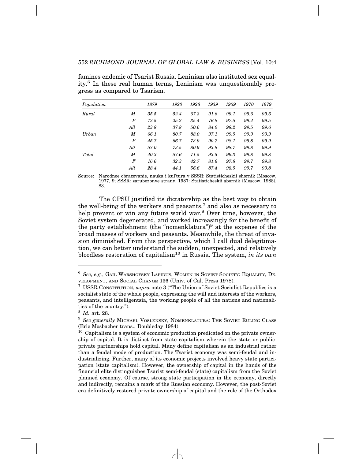| Population |        | 1879 | 1920 | 1926 | 1939 | 1959 | 1970 | 1979 |
|------------|--------|------|------|------|------|------|------|------|
| Rural      | M      | 35.5 | 52.4 | 67.3 | 91.6 | 99.1 | 99.6 | 99.6 |
|            | $_{F}$ | 12.5 | 25.2 | 35.4 | 76.8 | 97.5 | 99.4 | 99.5 |
|            | All    | 23.8 | 37.8 | 50.6 | 84.0 | 98.2 | 99.5 | 99.6 |
| $U$ rban   | M      | 66.1 | 80.7 | 88.0 | 97.1 | 99.5 | 99.9 | 99.9 |
|            | F      | 45.7 | 66.7 | 73.9 | 90.7 | 98.1 | 99.8 | 99.9 |
|            | All    | 57.0 | 73.5 | 80.9 | 93.8 | 98.7 | 99.8 | 99.9 |
| Total      | M      | 40.3 | 57.6 | 71.5 | 93.5 | 99.3 | 99.8 | 99.8 |
|            | $_{F}$ | 16.6 | 32.3 | 42.7 | 81.6 | 97.8 | 99.7 | 99.8 |
|            | All    | 28.4 | 44.1 | 56.6 | 87.4 | 98.5 | 99.7 | 99.8 |

famines endemic of Tsarist Russia. Leninism also instituted sex equality.6 In these real human terms, Leninism was unquestionably progress as compared to Tsarism.

Source: Narodnoe obrazovanie, nauka i kul'tura v SSSR: Statisticheskii shornik (Moscow, 1977, 9; SSSR: zarubezbnye strany, 1987: Statisticheskii sbornik (Moscow, 1988), 83.

The CPSU justified its dictatorship as the best way to obtain the well-being of the workers and peasants,<sup>7</sup> and also as necessary to help prevent or win any future world war.<sup>8</sup> Over time, however, the Soviet system degenerated, and worked increasingly for the benefit of the party establishment (the "nomenklatura")<sup>9</sup> at the expense of the broad masses of workers and peasants. Meanwhile, the threat of invasion diminished. From this perspective, which I call dual delegitimation, we can better understand the sudden, unexpected, and relatively bloodless restoration of capitalism10 in Russia. The system, *in its own*

<sup>6</sup> *See, e.g.*, GAIL WARSHOFSKY LAPIDUS, WOMEN IN SOVIET SOCIETY: EQUALITY, DE-VELOPMENT, AND SOCIAL CHANGE 136 (Univ. of Cal. Press 1978).

<sup>7</sup> USSR CONSTITUTION, *supra* note 3 ("The Union of Soviet Socialist Republics is a socialist state of the whole people, expressing the will and interests of the workers, peasants, and intelligentsia, the working people of all the nations and nationalities of the country.").

<sup>8</sup> *Id.* art. 28.

 $^9$  *See generally* MICHAEL VOSLENSKY, NOMENKLATURA: THE SOVIET RULING CLASS (Eric Mosbacher trans., Doubleday 1984).

 $10$  Capitalism is a system of economic production predicated on the private ownership of capital. It is distinct from state capitalism wherein the state or publicprivate partnerships hold capital. Many define capitalism as an industrial rather than a feudal mode of production. The Tsarist economy was semi-feudal and industrializing. Further, many of its economic projects involved heavy state participation (state capitalism). However, the ownership of capital in the hands of the financial elite distinguishes Tsarist semi-feudal (state) capitalism from the Soviet planned economy. Of course, strong state participation in the economy, directly and indirectly, remains a mark of the Russian economy. However, the post-Soviet era definitively restored private ownership of capital and the role of the Orthodox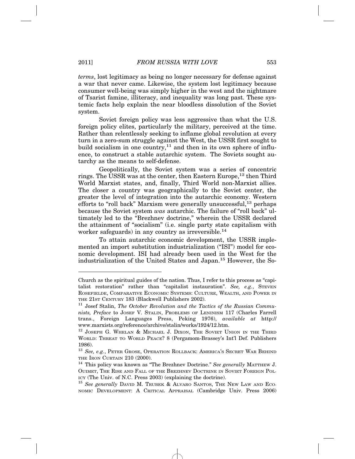*terms*, lost legitimacy as being no longer necessary for defense against a war that never came. Likewise, the system lost legitimacy because consumer well-being was simply higher in the west and the nightmare of Tsarist famine, illiteracy, and inequality was long past. These systemic facts help explain the near bloodless dissolution of the Soviet system.

Soviet foreign policy was less aggressive than what the U.S. foreign policy elites, particularly the military, perceived at the time. Rather than relentlessly seeking to inflame global revolution at every turn in a zero-sum struggle against the West, the USSR first sought to build socialism in one country, $11$  and then in its own sphere of influence, to construct a stable autarchic system. The Soviets sought autarchy as the means to self-defense.

Geopolitically, the Soviet system was a series of concentric rings. The USSR was at the center, then Eastern Europe,  $12$  then Third World Marxist states, and, finally, Third World non-Marxist allies. The closer a country was geographically to the Soviet center, the greater the level of integration into the autarchic economy. Western efforts to "roll back" Marxism were generally unsuccessful,<sup>13</sup> perhaps because the Soviet system *was* autarchic. The failure of "roll back" ultimately led to the "Brezhnev doctrine," wherein the USSR declared the attainment of "socialism" (i.e. single party state capitalism with worker safeguards) in any country as irreversible.<sup>14</sup>

To attain autarchic economic development, the USSR implemented an import substitution industrialization ("ISI") model for economic development. ISI had already been used in the West for the industrialization of the United States and Japan.15 However, the So-

Church as the spiritual guides of the nation. Thus, I refer to this process as "capitalist restoration" rather than "capitalist instauration". *See, e.g.*, STEVEN ROSEFIELDE, COMPARATIVE ECONOMIC SYSTEMS: CULTURE, WEALTH, AND POWER IN THE 21ST CENTURY 183 (Blackwell Publishers 2002).

<sup>&</sup>lt;sup>11</sup> Josef Stalin, *The October Revolution and the Tactics of the Russian Communists, Preface* to JOSEF V. STALIN, PROBLEMS OF LENINISM 117 (Charles Farrell trans., Foreign Languages Press, Peking 1976), *available at* http:// www.marxists.org/reference/archive/stalin/works/1924/12.htm.

 $12$  JOSEPH G. WHELAN & MICHAEL J. DIXON, THE SOVIET UNION IN THE THIRD WORLD: THREAT TO WORLD PEACE? 8 (Pergamom-Brassey's Int'l Def. Publishers 1986).

<sup>13</sup> *See, e.g.*, PETER GROSE, OPERATION ROLLBACK: AMERICA'S SECRET WAR BEHIND THE IRON CURTAIN 210 (2000).

<sup>&</sup>lt;sup>14</sup> This policy was known as "The Brezhnev Doctrine." See generally MATTHEW J. OUIMET, THE RISE AND FALL OF THE BREZHNEV DOCTRINE IN SOVIET FOREIGN POL-ICY (The Univ. of N.C. Press 2003) (explaining the doctrine).

<sup>&</sup>lt;sup>15</sup> See generally DAVID M. TRUBEK & ALVARO SANTOS, THE NEW LAW AND ECO-NOMIC DEVELOPMENT: A CRITICAL APPRAISAL (Cambridge Univ. Press 2006)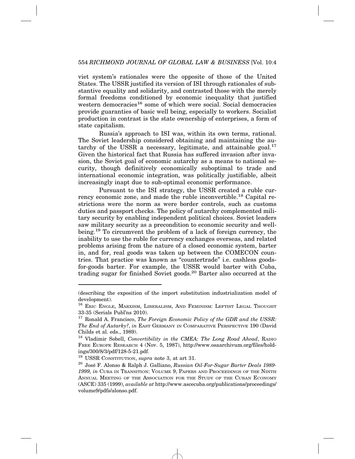viet system's rationales were the opposite of those of the United States. The USSR justified its version of ISI through rationales of substantive equality and solidarity, and contrasted those with the merely formal freedoms conditioned by economic inequality that justified western democracies<sup>16</sup> some of which were social. Social democracies provide guaranties of basic well being, especially to workers. Socialist production in contrast is the state ownership of enterprises, a form of state capitalism.

Russia's approach to ISI was, within its own terms, rational. The Soviet leadership considered obtaining and maintaining the autarchy of the USSR a necessary, legitimate, and attainable goal. $17$ Given the historical fact that Russia has suffered invasion after invasion, the Soviet goal of economic autarchy as a means to national security, though definitively economically suboptimal to trade and international economic integration, was politically justifiable, albeit increasingly inapt due to sub-optimal economic performance.

Pursuant to the ISI strategy, the USSR created a ruble currency economic zone, and made the ruble inconvertible.<sup>18</sup> Capital restrictions were the norm as were border controls, such as customs duties and passport checks. The policy of autarchy complemented military security by enabling independent political choices. Soviet leaders saw military security as a precondition to economic security and wellbeing.19 To circumvent the problem of a lack of foreign currency, the inability to use the ruble for currency exchanges overseas, and related problems arising from the nature of a closed economic system, barter in, and for, real goods was taken up between the COMECON countries. That practice was known as "countertrade" i.e. cashless goodsfor-goods barter. For example, the USSR would barter with Cuba, trading sugar for finished Soviet goods.20 Barter also occurred at the

<sup>(</sup>describing the exposition of the import substitution industrialization model of development).

<sup>16</sup> ERIC ENGLE, MARXISM, LIBERALISM, AND FEMINISM: LEFTIST LEGAL THOUGHT 33-35 (Serials Publ'ns 2010).

<sup>17</sup> Ronald A. Francisco, *The Foreign Economic Policy of the GDR and the USSR: The End of Autarky?*, *in* EAST GERMANY IN COMPARATIVE PERSPECTIVE 190 (David Childs et al. eds., 1989).

<sup>18</sup> Vladimir Sobell, *Convertibility in the CMEA: The Long Road Ahead*, RADIO FREE EUROPE RESEARCH 4 (Nov. 5, 1987), http://www.osaarchivum.org/files/holdings/300/8/3/pdf/128-5-21.pdf.

<sup>19</sup> USSR CONSTITUTION, *supra* note 3, at art 31.

<sup>&</sup>lt;sup>20</sup> José F. Alonso & Ralph J. Galliano, *Russian Oil-For-Sugar Barter Deals 1989-1999, in* CUBA IN TRANSITION: VOLUME 9, PAPERS AND PROCEEDINGS OF THE NINTH ANNUAL MEETING OF THE ASSOCIATION FOR THE STUDY OF THE CUBAN ECONOMY (ASCE) 335 (1999), *available at* http://www.ascecuba.org/publications/proceedings/ volume9/pdfs/alonso.pdf.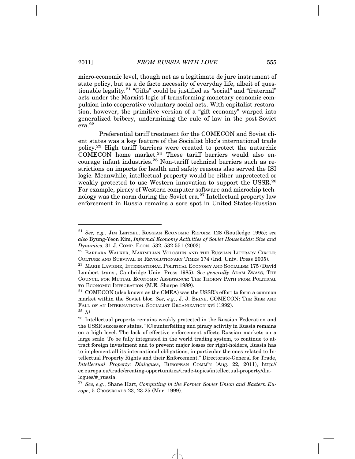micro-economic level, though not as a legitimate de jure instrument of state policy, but as a de facto necessity of everyday life, albeit of questionable legality.<sup>21</sup> "Gifts" could be justified as "social" and "fraternal" acts under the Marxist logic of transforming monetary economic compulsion into cooperative voluntary social acts. With capitalist restoration, however, the primitive version of a "gift economy" warped into generalized bribery, undermining the rule of law in the post-Soviet  $_{\rm era}^{\sim}$  22

Preferential tariff treatment for the COMECON and Soviet client states was a key feature of the Socialist bloc's international trade policy.23 High tariff barriers were created to protect the autarchic  $COMECON$  home market.<sup>24</sup> These tariff barriers would also encourage infant industries.25 Non-tariff technical barriers such as restrictions on imports for health and safety reasons also served the ISI logic. Meanwhile, intellectual property would be either unprotected or weakly protected to use Western innovation to support the USSR.26 For example, piracy of Western computer software and microchip technology was the norm during the Soviet era.<sup>27</sup> Intellectual property law enforcement in Russia remains a sore spot in United States-Russian

<sup>21</sup> *See, e.g.*, JIM LEITZEL, RUSSIAN ECONOMIC REFORM 128 (Routledge 1995); *see also* Byung-Yeon Kim, *Informal Economy Activities of Soviet Households: Size and Dynamics*, 31 J. COMP. ECON. 532, 532-551 (2003).

<sup>&</sup>lt;sup>22</sup> BARBARA WALKER, MAXIMILIAN VOLOSHIN AND THE RUSSIAN LITERARY CIRCLE: CULTURE AND SURVIVAL IN REVOLUTIONARY TIMES 174 (Ind. Univ. Press 2005).

<sup>23</sup> MARIE LAVIGNE, INTERNATIONAL POLITICAL ECONOMY AND SOCIALISM 175 (David Lambert trans., Cambridge Univ. Press 1985). *See generally* ADAM ZWASS, THE COUNCIL FOR MUTUAL ECONOMIC ASSISTANCE: THE THORNY PATH FROM POLITICAL TO ECONOMIC INTEGRATION (M.E. Sharpe 1989).

 $^{24}$  COMECON (also known as the CMEA) was the USSR's effort to form a common market within the Soviet bloc. *See, e.g.*, J. J. BRINE, COMECON: THE RISE AND FALL OF AN INTERNATIONAL SOCIALIST ORGANIZATION xvi (1992). <sup>25</sup> *Id*.

 $^{26}\,$  Intellectual property remains weakly protected in the Russian Federation and the USSR successor states. "[C]ounterfeiting and piracy activity in Russia remains on a high level. The lack of effective enforcement affects Russian markets on a large scale. To be fully integrated in the world trading system, to continue to attract foreign investment and to prevent major losses for right-holders, Russia has to implement all its international obligations, in particular the ones related to Intellectual Property Rights and their Enforcement." Directorate-General for Trade, *Intellectual Property: Dialogues*, EUROPEAN COMM'N (Aug. 22, 2011), http:// ec.europa.eu/trade/creating-opportunities/trade-topics/intellectual-property/dialogues/#\_russia.

<sup>27</sup> *See, e.g.*, Shane Hart, *Computing in the Former Soviet Union and Eastern Europe*, 5 CROSSROADS 23, 23-25 (Mar. 1999).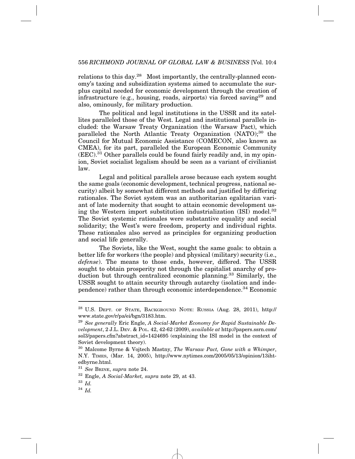relations to this day.<sup>28</sup> Most importantly, the centrally-planned economy's taxing and subsidization systems aimed to accumulate the surplus capital needed for economic development through the creation of infrastructure (e.g., housing, roads, airports) via forced saving<sup>29</sup> and also, ominously, for military production.

The political and legal institutions in the USSR and its satellites paralleled those of the West. Legal and institutional parallels included: the Warsaw Treaty Organization (the Warsaw Pact), which paralleled the North Atlantic Treaty Organization (NATO);<sup>30</sup> the Council for Mutual Economic Assistance (COMECON, also known as CMEA), for its part, paralleled the European Economic Community  $(EEC).<sup>31</sup>$  Other parallels could be found fairly readily and, in my opinion, Soviet socialist legalism should be seen as a variant of civilianist law.

Legal and political parallels arose because each system sought the same goals (economic development, technical progress, national security) albeit by somewhat different methods and justified by differing rationales. The Soviet system was an authoritarian egalitarian variant of late modernity that sought to attain economic development using the Western import substitution industrialization  $(ISI)$  model.<sup>32</sup> The Soviet systemic rationales were substantive equality and social solidarity; the West's were freedom, property and individual rights. These rationales also served as principles for organizing production and social life generally.

The Soviets, like the West, sought the same goals: to obtain a better life for workers (the people) and physical (military) security (i.e., *defense*). The means to those ends, however, differed. The USSR sought to obtain prosperity not through the capitalist anarchy of production but through centralized economic planning.<sup>33</sup> Similarly, the USSR sought to attain security through autarchy (isolation and independence) rather than through economic interdependence.34 Economic

<sup>28</sup> U.S. DEPT. OF STATE, BACKGROUND NOTE: RUSSIA (Aug. 28, 2011), http:// www.state.gov/r/pa/ei/bgn/3183.htm.

<sup>29</sup> *See generally* Eric Engle, *A Social-Market Economy for Rapid Sustainable Development*, 2 J.L. DEV. & POL. 42, 42-62 (2009), *available at* http://papers.ssrn.com/ sol3/papers.cfm?abstract\_id=1424695 (explaining the ISI model in the context of Soviet development theory).

<sup>30</sup> Malcome Byrne & Vojtech Mastny, *The Warsaw Pact, Gone with a Whimper*, N.Y. TIMES, (Mar. 14, 2005), http://www.nytimes.com/2005/05/13/opinion/13ihtedbyrne.html.

<sup>31</sup> *See* BRINE, *supra* note 24.

<sup>32</sup> Engle, *A Social-Market, supra* note 29, at 43.

<sup>33</sup> *Id.*

<sup>34</sup> *Id.*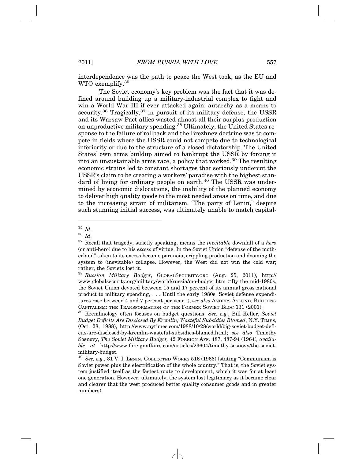interdependence was the path to peace the West took, as the EU and WTO exemplify.35

The Soviet economy's key problem was the fact that it was defined around building up a military-industrial complex to fight and win a World War III if ever attacked again: autarchy as a means to security.<sup>36</sup> Tragically,<sup>37</sup> in pursuit of its military defense, the USSR and its Warsaw Pact allies wasted almost all their surplus production on unproductive military spending.38 Ultimately, the United States response to the failure of rollback and the Brezhnev doctrine was to compete in fields where the USSR could not compete due to technological inferiority or due to the structure of a closed dictatorship. The United States' own arms buildup aimed to bankrupt the USSR by forcing it into an unsustainable arms race, a policy that worked.<sup>39</sup> The resulting economic strains led to constant shortages that seriously undercut the USSR's claim to be creating a workers' paradise with the highest standard of living for ordinary people on earth.<sup>40</sup> The USSR was undermined by economic dislocations, the inability of the planned economy to deliver high quality goods to the most needed areas on time, and due to the increasing strain of militarism. "The party of Lenin," despite such stunning initial success, was ultimately unable to match capital-

<sup>35</sup> *Id*.

<sup>36</sup> *Id*.

<sup>37</sup> Recall that tragedy, strictly speaking, means the *inevitable* downfall of a *hero* (or anti-hero) due to his *excess* of virtue. In the Soviet Union "defense of the motherland" taken to its excess became paranoia, crippling production and dooming the system to (inevitable) collapse. However, the West did not win the cold war; rather, the Soviets lost it.

<sup>38</sup> *Russian Military Budget*, GLOBALSECURITY.ORG (Aug. 25, 2011), http:// www.globalsecurity.org/military/world/russia/mo-budget.htm ("By the mid-1980s, the Soviet Union devoted between 15 and 17 percent of its annual gross national product to military spending, . . . Until the early 1980s, Soviet defense expenditures rose between 4 and 7 percent per year."); *see also* ANDERS ASLUND, BUILDING CAPITALISM: THE TRANSFORMATION OF THE FORMER SOVIET BLOC 131 (2001).

<sup>39</sup> Kremlinology often focuses on budget questions. *See, e.g.*, Bill Keller, *Soviet Budget Deficits Are Disclosed By Kremlin; Wasteful Subsidies Blamed*, N.Y. TIMES, (Oct. 28, 1988), http://www.nytimes.com/1988/10/28/world/big-soviet-budget-deficits-are-disclosed-by-kremlin-wasteful-subsidies-blamed.html; *see also* Timothy Sosnovy, *The Soviet Military Budget,* 42 FOREIGN AFF. 487, 487-94 (1964)*, available at* http://www.foreignaffairs.com/articles/23604/timothy-sosnovy/the-sovietmilitary-budget.

<sup>40</sup> *See, e.g.,* 31 V. I. LENIN, COLLECTED WORKS 516 (1966) (stating "Communism is Soviet power plus the electrification of the whole country." That is, the Soviet system justified itself as the fastest route to development, which it was for at least one generation. However, ultimately, the system lost legitimacy as it became clear and clearer that the west produced better quality consumer goods and in greater numbers).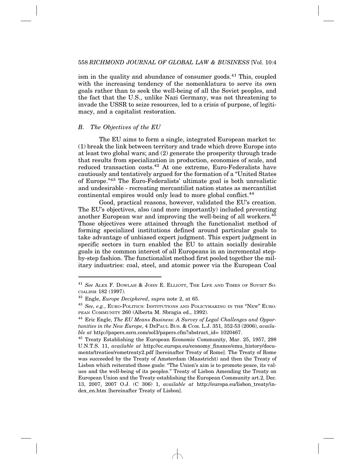ism in the quality and abundance of consumer goods.<sup>41</sup> This, coupled with the increasing tendency of the nomenklatura to serve its own goals rather than to seek the well-being of all the Soviet peoples, and the fact that the U.S., unlike Nazi Germany, was not threatening to invade the USSR to seize resources, led to a crisis of purpose, of legitimacy, and a capitalist restoration.

#### *B. The Objectives of the EU*

The EU aims to form a single, integrated European market to: (1) break the link between territory and trade which drove Europe into at least two global wars; and (2) generate the prosperity through trade that results from specialization in production, economies of scale, and reduced transaction costs.<sup>42</sup> At one extreme, Euro-Federalists have cautiously and tentatively argued for the formation of a "United States of Europe."43 The Euro-Federalists' ultimate goal is both unrealistic and undesirable - recreating mercantilist nation states as mercantilist continental empires would only lead to more global conflict.<sup>44</sup>

Good, practical reasons, however, validated the EU's creation. The EU's objectives, also (and more importantly) included preventing another European war and improving the well-being of all workers.45 Those objectives were attained through the functionalist method of forming specialized institutions defined around particular goals to take advantage of unbiased expert judgment. This expert judgment in specific sectors in turn enabled the EU to attain socially desirable goals in the common interest of all Europeans in an incremental stepby-step fashion. The functionalist method first pooled together the military industries: coal, steel, and atomic power via the European Coal

<sup>41</sup> *See* ALEX F. DOWLAH & JOHN E. ELLIOTT, THE LIFE AND TIMES OF SOVIET SO-CIALISM 182 (1997).

<sup>42</sup> Engle, *Europe Deciphered*, *supra* note 2, at 65.

<sup>43</sup> *See, e.g.*, EURO-POLITICS: INSTITUTIONS AND POLICYMAKING IN THE "NEW" EURO-PEAN COMMUNITY 260 (Alberta M. Sbragia ed., 1992).

<sup>44</sup> Eric Engle, *The EU Means Business: A Survey of Legal Challenges and Opportunities in the New Europe*, 4 DEPAUL BUS. & COM. L.J. 351, 352-53 (2006), *available at* http://papers.ssrn.com/sol3/papers.cfm?abstract\_id= 1020467.

<sup>&</sup>lt;sup>45</sup> Treaty Establishing the European Economic Community, Mar. 25, 1957, 298 U.N.T.S. 11, *available at* http://ec.europa.eu/economy\_finance/emu\_history/documents/treaties/rometreaty2.pdf [hereinafter Treaty of Rome]. The Treaty of Rome was succeeded by the Treaty of Amsterdam (Maastricht) and then the Treaty of Lisbon which reiterated those goals: "The Union's aim is to promote peace, its values and the well-being of its peoples." Treaty of Lisbon Amending the Treaty on European Union and the Treaty establishing the European Community art.2, Dec. 13, 2007, 2007 O.J. (C 306) 1, *available at* http://europa.eu/lisbon\_treaty/index\_en.htm [hereinafter Treaty of Lisbon].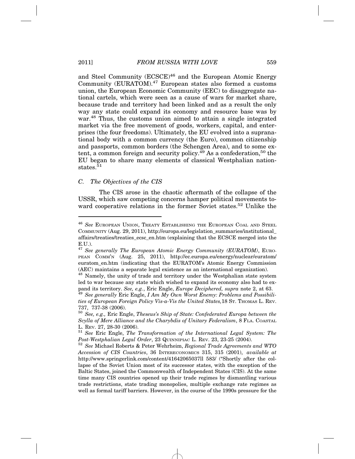and Steel Community (ECSCE)<sup>46</sup> and the European Atomic Energy Community (EURATOM).47 European states also formed a customs union, the European Economic Community (EEC) to disaggregate national cartels, which were seen as a cause of wars for market share, because trade and territory had been linked and as a result the only way any state could expand its economy and resource base was by war.<sup>48</sup> Thus, the customs union aimed to attain a single integrated market via the free movement of goods, workers, capital, and enterprises (the four freedoms). Ultimately, the EU evolved into a supranational body with a common currency (the Euro), common citizenship and passports, common borders (the Schengen Area), and to some extent, a common foreign and security policy.<sup>49</sup> As a confederation,<sup>50</sup> the EU began to share many elements of classical Westphalian nationstates  $^{51}$ 

#### *C. The Objectives of the CIS*

The CIS arose in the chaotic aftermath of the collapse of the USSR, which saw competing concerns hamper political movements toward cooperative relations in the former Soviet states.<sup>52</sup> Unlike the

<sup>46</sup> *See* EUROPEAN UNION, TREATY ESTABLISHING THE EUROPEAN COAL AND STEEL COMMUNITY (Aug. 29, 2011), http://europa.eu/legislation\_summaries/institutional\_ affairs/treaties/treaties\_ecsc\_en.htm (explaining that the ECSCE merged into the E.U.).

<sup>&</sup>lt;sup>47</sup> See generally The European Atomic Energy Community (EURATOM), EURO-PEAN COMM'N (Aug. 25, 2011), http://ec.europa.eu/energy/nuclear/euratom/ euratom\_en.htm (indicating that the EURATOM's Atomic Energy Commission (AEC) maintains a separate legal existence as an international organization).

<sup>&</sup>lt;sup>48</sup> Namely, the unity of trade and territory under the Westphalian state system led to war because any state which wished to expand its economy also had to expand its territory. *See, e.g.*, Eric Engle, *Europe Deciphered, supra* note 2, at 63. <sup>49</sup> *See generally* Eric Engle, *I Am My Own Worst Enemy: Problems and Possibili-*

*ties of European Foreign Policy Vis-a-Vis the United States,*18 ST. THOMAS L. REV. 737, 737-38 (2006).

<sup>50</sup> *See, e.g.,* Eric Engle, *Theseus's Ship of State: Confederated Europa between the Scylla of Mere Alliance and the Charybdis of Unitary Federalism*, 8 FLA. COASTAL

<sup>&</sup>lt;sup>51</sup> See Eric Engle, *The Transformation of the International Legal System: The Post-Westphalian Legal Order*, 23 QUINNIPIAC L. REV. 23, 23-25 (2004). <sup>52</sup> *See* Michael Roberts & Peter Wehrheim, *Regional Trade Agreements and WTO*

*Accession of CIS Countries*, 36 INTERECONOMICS 315, 315 (2001), *available at* http://www.springerlink.com/content/41642065037ll 583/ ("Shortly after the collapse of the Soviet Union most of its successor states, with the exception of the Baltic States, joined the Commonwealth of Independent States (CIS). At the same time many CIS countries opened up their trade regimes by dismantling various trade restrictions, state trading monopolies, multiple exchange rate regimes as well as formal tariff barriers. However, in the course of the 1990s pressure for the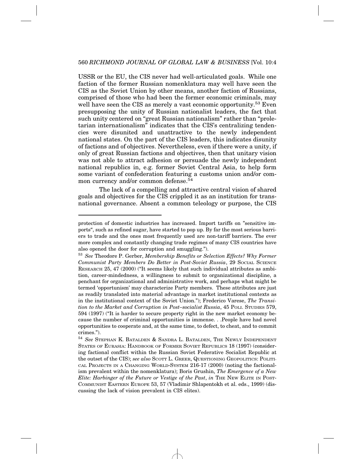USSR or the EU, the CIS never had well-articulated goals. While one faction of the former Russian nomenklatura may well have seen the CIS as the Soviet Union by other means, another faction of Russians, comprised of those who had been the former economic criminals, may well have seen the CIS as merely a vast economic opportunity.<sup>53</sup> Even presupposing the unity of Russian nationalist leaders, the fact that such unity centered on "great Russian nationalism" rather than "proletarian internationalism" indicates that the CIS's centralizing tendencies were disunited and unattractive to the newly independent national states. On the part of the CIS leaders, this indicates disunity of factions and of objectives. Nevertheless, even if there were a unity, if only of great Russian factions and objectives, then that unitary vision was not able to attract adhesion or persuade the newly independent national republics in, e.g. former Soviet Central Asia, to help form some variant of confederation featuring a customs union and/or common currency and/or common defense.<sup>54</sup>

The lack of a compelling and attractive central vision of shared goals and objectives for the CIS crippled it as an institution for transnational governance. Absent a common teleology or purpose, the CIS

protection of domestic industries has increased. Import tariffs on "sensitive imports", such as refined sugar, have started to pop up. By far the most serious barriers to trade and the ones most frequently used are non-tariff barriers. The ever more complex and constantly changing trade regimes of many CIS countries have also opened the door for corruption and smuggling.").

<sup>53</sup> *See* Theodore P. Gerber, *Membership Benefits or Selection Effects? Why Former Communist Party Members Do Better in Post-Soviet Russia*, 29 SOCIAL SCIENCE RESEARCH 25, 47 (2000) ("It seems likely that such individual attributes as ambition, career-mindedness, a willingness to submit to organizational discipline, a penchant for organizational and administrative work, and perhaps what might be termed 'opportunism' may characterize Party members. These attributes are just as readily translated into material advantage in market institutional contexts as in the institutional context of the Soviet Union."); Frederico Varese, *The Transition to the Market and Corruption in Post–socialist Russia*, 45 POLI. STUDIES 579, 594 (1997) ("It is harder to secure property right in the new market economy because the number of criminal opportunities is immense. . .People have had novel opportunities to cooperate and, at the same time, to defect, to cheat, and to commit crimes.").

<sup>54</sup> *See* STEPHAN K. BATALDEN & SANDRA L. BATALDEN, THE NEWLY INDEPENDENT STATES OF EURASIA: HANDBOOK OF FORMER SOVIET REPUBLICS 18 (1997) (considering factional conflict within the Russian Soviet Federative Socialist Republic at the outset of the CIS); *see also* SCOTT L. GREER, QUESTIONING GEOPOLITICS: POLITI-CAL PROJECTS IN A CHANGING WORLD-SYSTEM 216-17 (2000) (noting the factionalism prevalent within the nomenklatura); Boris Grushin, *The Emergence of a New Elite: Harbinger of the Future or Vestige of the Past*, *in* THE NEW ELITE IN POST-COMMUNIST EASTERN EUROPE 53, 57 (Vladimir Shlapentokh et al. eds., 1999) (discussing the lack of vision prevalent in CIS elites).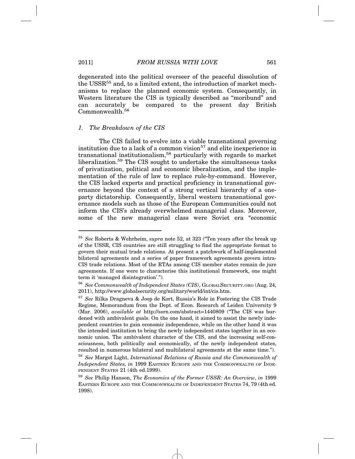degenerated into the political overseer of the peaceful dissolution of the USSR<sup>55</sup> and, to a limited extent, the introduction of market mechanisms to replace the planned economic system. Consequently, in Western literature the CIS is typically described as "moribund" and can accurately be compared to the present day British Commonwealth.56

#### *1. The Breakdown of the CIS*

The CIS failed to evolve into a viable transnational governing institution due to a lack of a common vision<sup>57</sup> and elite inexperience in transnational institutionalism,<sup>58</sup> particularly with regards to market liberalization.59 The CIS sought to undertake the simultaneous tasks of privatization, political and economic liberalization, and the implementation of the rule of law to replace rule-by-command. However, the CIS lacked experts and practical proficiency in transnational governance beyond the context of a strong vertical hierarchy of a oneparty dictatorship. Consequently, liberal western transnational governance models such as those of the European Communities could not inform the CIS's already overwhelmed managerial class. Moreover, some of the new managerial class were Soviet era "economic

<sup>55</sup> *See* Roberts & Wehrheim, *supra* note 52, at 323 ("Ten years after the break up of the USSR, CIS countries are still struggling to find the appropriate format to govern their mutual trade relations. At present a patchwork of half-implemented bilateral agreements and a series of paper framework agreements govern intra-CIS trade relations. Most of the RTAs among CIS member states remain de jure agreements. If one were to characterise this institutional framework, one might term it 'managed disintegration'.").

<sup>56</sup> *See Commonwealth of Independent States (CIS)*, GLOBALSECURITY.ORG (Aug. 24, 2011), http://www.globalsecurity.org/military/world/int/cis.htm.

<sup>57</sup> *See* Rilka Dragneva & Joop de Kort, Russia's Role in Fostering the CIS Trade Regime, Memorandum from the Dept. of Econ. Research of Leiden University 9 (Mar. 2006), *available at* http://ssrn.com/abstract=1440809 ("The CIS was burdened with ambivalent goals. On the one hand, it aimed to assist the newly independent countries to gain economic independence, while on the other hand it was the intended institution to bring the newly independent states together in an economic union. The ambivalent character of the CIS, and the increasing self-consciousness, both politically and economically, of the newly independent states, resulted in numerous bilateral and multilateral agreements at the same time.").

<sup>58</sup> *See* Margot Light, *International Relations of Russia and the Commonwealth of Independent States, in* 1999 EASTERN EUROPE AND THE COMMONWEALTH OF INDE-PENDENT STATES 21 (4th ed.1999).

<sup>59</sup> *See* Philip Hanson, *The Economics of the Former USSR: An Overview*, *in* 1999 EASTERN EUROPE AND THE COMMONWEALTH OF INDEPENDENT STATES 74, 79 (4th ed. 1998).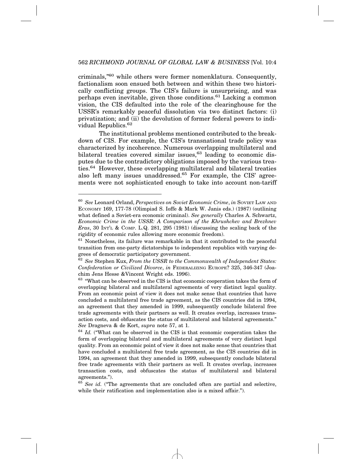criminals,"60 while others were former nomenklatura. Consequently, factionalism soon ensued both between and within these two historically conflicting groups. The CIS's failure is unsurprising, and was perhaps even inevitable, given those conditions.61 Lacking a common vision, the CIS defaulted into the role of the clearinghouse for the USSR's remarkably peaceful dissolution via two distinct factors: (i) privatization; and (ii) the devolution of former federal powers to individual Republics.<sup>62</sup>

The institutional problems mentioned contributed to the breakdown of CIS. For example, the CIS's transnational trade policy was characterized by incoherence. Numerous overlapping multilateral and bilateral treaties covered similar issues, $63$  leading to economic disputes due to the contradictory obligations imposed by the various treaties.<sup>64</sup> However, these overlapping multilateral and bilateral treaties also left many issues unaddressed.<sup>65</sup> For example, the CIS' agreements were not sophisticated enough to take into account non-tariff

<sup>60</sup> *See* Leonard Orland, *Perspectives on Soviet Economic Crime*, *in* SOVIET LAW AND ECONOMY 169, 177-78 (Olimpiad S. Ioffe & Mark W. Janis eds.) (1987) (outlining what defined a Soviet-era economic criminal). *See generally* Charles A. Schwartz, *Economic Crime in the USSR: A Comparison of the Khrushchev and Brezhnev Eras*, 30 INT'L & COMP. L.Q. 281, 295 (1981) (discussing the scaling back of the rigidity of economic rules allowing more economic freedom).

 $61$  Nonetheless, its failure was remarkable in that it contributed to the peaceful transition from one-party dictatorships to independent republics with varying degrees of democratic participatory government.

<sup>62</sup> *See* Stephen Kux, *From the USSR to the Commonwealth of Independent States: Confederation or Civilized Divorce*, *in* FEDERALIZING EUROPE? 325, 346-347 (Joachim Jens Hesse &Vincent Wright eds. 1996).

<sup>&</sup>lt;sup>63</sup> "What can be observed in the CIS is that economic cooperation takes the form of overlapping bilateral and multilateral agreements of very distinct legal quality. From an economic point of view it does not make sense that countries that have concluded a multilateral free trade agreement, as the CIS countries did in 1994, an agreement that they amended in 1999, subsequently conclude bilateral free trade agreements with their partners as well. It creates overlap, increases transaction costs, and obfuscates the status of multilateral and bilateral agreements." *See* Dragneva & de Kort, *supra* note 57, at 1.

<sup>64</sup> *Id.* ("What can be observed in the CIS is that economic cooperation takes the form of overlapping bilateral and multilateral agreements of very distinct legal quality. From an economic point of view it does not make sense that countries that have concluded a multilateral free trade agreement, as the CIS countries did in 1994, an agreement that they amended in 1999, subsequently conclude bilateral free trade agreements with their partners as well. It creates overlap, increases transaction costs, and obfuscates the status of multilateral and bilateral agreements.").

<sup>65</sup> *See id.* ("The agreements that are concluded often are partial and selective, while their ratification and implementation also is a mixed affair.").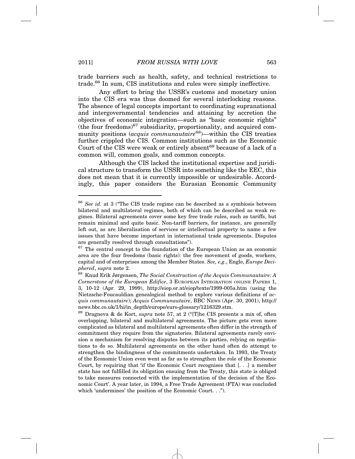trade barriers such as health, safety, and technical restrictions to trade.66 In sum, CIS institutions and rules were simply ineffective.

Any effort to bring the USSR's customs and monetary union into the CIS era was thus doomed for several interlocking reasons. The absence of legal concepts important to coordinating supranational and intergovernmental tendencies and attaining by accretion the objectives of economic integration—such as "basic economic rights"  $(the four freedom s)^{67}$  subsidiarity, proportionality, and acquired community positions (*acquis communautaire*68)—within the CIS treaties further crippled the CIS. Common institutions such as the Economic Court of the CIS were weak or entirely absent<sup>69</sup> because of a lack of a common will, common goals, and common concepts.

Although the CIS lacked the institutional expertise and juridical structure to transform the USSR into something like the EEC, this does not mean that it is currently impossible or undesirable. Accordingly, this paper considers the Eurasian Economic Community

<sup>66</sup> *See id.* at 3 ("The CIS trade regime can be described as a symbiosis between bilateral and multilateral regimes, both of which can be described as weak regimes. Bilateral agreements cover some key free trade rules, such as tariffs, but remain minimal and quite basic. Non-tariff barriers, for instance, are generally left out, as are liberalisation of services or intellectual property to name a few issues that have become important in international trade agreements. Disputes are generally resolved through consultations").

 $67$  The central concept to the foundation of the European Union as an economic area are the four freedoms (basic rights): the free movement of goods, workers, capital and of enterprises among the Member States. *See, e.g*., Engle, *Europe Deciphered*, *supra* note 2.

<sup>68</sup> Knud Erik Jørgensen, *The Social Construction of the Acquis Communautaire: A Cornerstone of the European Edifice*, 3 EUROPEAN INTEGRATION ONLINE PAPERS 1, 3, 10-12 (Apr. 29, 1999), http://eiop.or.at/eiop/texte/1999-005a.htm (using the Nietzsche-Foucauldian genealogical method to explore various definitions of *acquis communautaire*); *Acquis Communautaire*, BBC NEWS (Apr. 30, 2001), http:// news.bbc.co.uk/1/hi/in\_depth/europe/euro-glossary/1216329.stm.

<sup>69</sup> Dragneva & de Kort, *supra* note 57, at 2 ("[T]he CIS presents a mix of, often overlapping, bilateral and multilateral agreements. The picture gets even more complicated as bilateral and multilateral agreements often differ in the strength of commitment they require from the signatories. Bilateral agreements rarely envision a mechanism for resolving disputes between its parties, relying on negotiations to do so. Multilateral agreements on the other hand often do attempt to strengthen the bindingness of the commitments undertaken. In 1993, the Treaty of the Economic Union even went as far as to strengthen the role of the Economic Court, by requiring that 'if the Economic Court recognises that [. . .] a member state has not fulfilled its obligation ensuing from the Treaty, this state is obliged to take measures connected with the implementation of the decision of the Economic Court'. A year later, in 1994, a Free Trade Agreement (FTA) was concluded which 'undermines' the position of the Economic Court...".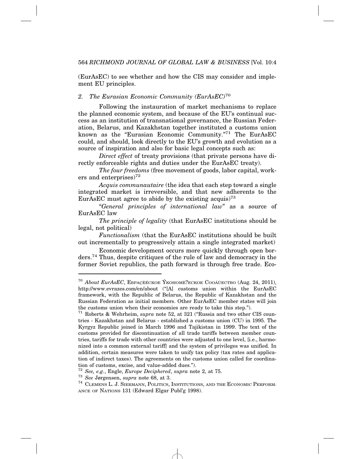(EurAsEC) to see whether and how the CIS may consider and implement EU principles.

#### *2. The Eurasian Economic Community (EurAsEC)*<sup>70</sup>

Following the instauration of market mechanisms to replace the planned economic system, and because of the EU's continual success as an institution of transnational governance, the Russian Federation, Belarus, and Kazakhstan together instituted a customs union known as the "Eurasian Economic Community."71 The EurAsEC could, and should, look directly to the EU's growth and evolution as a source of inspiration and also for basic legal concepts such as:

*Direct effect* of treaty provisions (that private persons have directly enforceable rights and duties under the EurAsEC treaty).

*The four freedoms* (free movement of goods, labor capital, workers and enterprises $^{72}$ 

*Acquis communautaire* (the idea that each step toward a single integrated market is irreversible, and that new adherents to the EurAsEC must agree to abide by the existing acquis)<sup>73</sup>

"*General principles of international law*" as a source of EurAsEC law

*The principle of legality* (that EurAsEC institutions should be legal, not political)

*Functionalism* (that the EurAsEC institutions should be built out incrementally to progressively attain a single integrated market)

Economic development occurs more quickly through open borders.74 Thus, despite critiques of the rule of law and democracy in the former Soviet republics, the path forward is through free trade. Eco-

 $^{70}$  *About EurAsEC*, Ebpacèéckoe Ýkohomè? Eckoe Cooaù ectbo (Aug. 24, 2011), http://www.evrazes.com/en/about ("[A] customs union within the EurAsEC framework, with the Republic of Belarus, the Republic of Kazakhstan and the Russian Federation as initial members. Other EurAsEC member states will join the customs union when their economies are ready to take this step.").

<sup>71</sup> Roberts & Wehrheim, *supra* note 52, at 321 ("Russia and two other CIS countries - Kazakhstan and Belarus - established a customs union (CU) in 1995. The Kyrgyz Republic joined in March 1996 and Tajikistan in 1999. The text of the customs provided for discontinuation of all trade tariffs between member countries, tariffs for trade with other countries were adjusted to one level, [i.e., harmonized into a common external tariff] and the system of privileges was unified. In addition, certain measures were taken to unify tax policy (tax rates and application of indirect taxes). The agreements on the customs union called for coordination of customs, excise, and value-added dues.").<br> $72$  See, e.g., Engle, Europe Deciphered, supra note 2, at 75.

<sup>73</sup> *See, Jørgensen, <i>supra* note 68, at 3.<br><sup>74</sup> CLEMENS L. J. SIERMANN, POLITICS, INSTITUTIONS, AND THE ECONOMIC PERFORM-ANCE OF NATIONS 131 (Edward Elgar Publ'g 1998).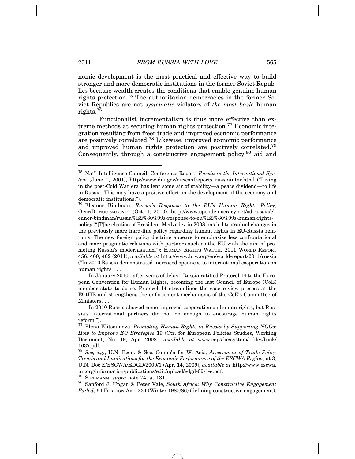nomic development is the most practical and effective way to build stronger and more democratic institutions in the former Soviet Republics because wealth creates the conditions that enable genuine human rights protection.75 The authoritarian democracies in the former Soviet Republics are not *systematic* violators of *the most basic* human rights.76

Functionalist incrementalism is thus more effective than extreme methods at securing human rights protection.77 Economic integration resulting from freer trade and improved economic performance are positively correlated.78 Likewise, improved economic performance and improved human rights protection are positively correlated.79 Consequently, through a constructive engagement policy,<sup>80</sup> aid and

<sup>79</sup> SIERMANN, *supra* note 74, at 131.

<sup>75</sup> Nat'l Intelligence Council, Conference Report, *Russia in the International System* (June 1, 2001), http://www.dni.gov/nic/confreports\_russiainter.html ("Living in the post-Cold War era has lent some air of stability—a peace dividend—to life in Russia. This may have a positive effect on the development of the economy and democratic institutions.").

<sup>76</sup> Eleanor Bindman, *Russia's Response to the EU's Human Rights Policy*, OPENDEMOCRACY.NET (Oct. 1, 2010), http://www.opendemocracy.net/od-russia/eleanor-bindman/russia%E2%80%99s-response-to-eu%E2%80%99s-human-rights-

policy ("[T]he election of President Medvedev in 2008 has led to gradual changes in the previously more hard-line policy regarding human rights in EU-Russia relations. The new foreign policy doctrine appears to emphasise less confrontational and more pragmatic relations with partners such as the EU with the aim of promoting Russia's modernisation."); HUMAN RIGHTS WATCH, 2011 WORLD REPORT 456, 460, 462 (2011), *available at* http://www.hrw.org/en/world-report-2011/russia ("In 2010 Russia demonstrated increased openness to international cooperation on human rights . . .

In January 2010 - after years of delay - Russia ratified Protocol 14 to the European Convention for Human Rights, becoming the last Council of Europe (CoE) member state to do so. Protocol 14 streamlines the case review process at the ECtHR and strengthens the enforcement mechanisms of the CoE's Committee of Ministers. . . .

In 2010 Russia showed some improved cooperation on human rights, but Russia's international partners did not do enough to encourage human rights reform.").

<sup>77</sup> Elena Klitsounova, *Promoting Human Rights in Russia by Supporting NGOs: How to Improve EU Strategies* 19 (Ctr. for European Policies Studies, Working Document, No. 19, Apr. 2008), *available at* www.ceps.be/system/ files/book/ 1637.pdf.

<sup>78</sup> *See, e.g.*, U.N. Econ. & Soc. Comm'n for W. Asia, *Assessment of Trade Policy Trends and Implications for the Economic Performance of the ESCWA Region*, at 3, U.N. Doc E/ESCWA/EDGD/2009/1 (Apr. 14, 2009), *available at* http://www.escwa. un.org/information/publications/edit/upload/edgd-09-1-e.pdf.

<sup>80</sup> Sanford J. Ungar & Peter Vale, *South Africa: Why Constructive Engagement Failed*, 64 FOREIGN AFF. 234 (Winter 1985/86) (defining constructive engagement),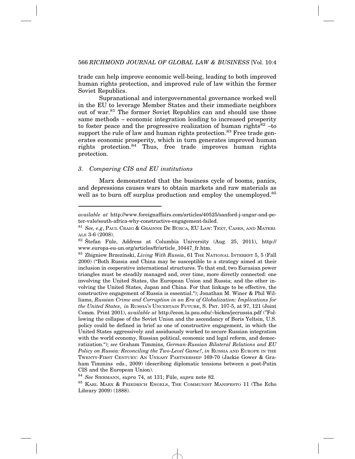trade can help improve economic well-being, leading to both improved human rights protection, and improved rule of law within the former Soviet Republics.

Supranational and intergovernmental governance worked well in the EU to leverage Member States and their immediate neighbors out of war.81 The former Soviet Republics can and should use those same methods – economic integration leading to increased prosperity to foster peace and the progressive realization of human rights<sup>82</sup> –to support the rule of law and human rights protection.<sup>83</sup> Free trade generates economic prosperity, which in turn generates improved human rights protection.<sup>84</sup> Thus, free trade improves human rights protection.

#### *3. Comparing CIS and EU institutions*

Marx demonstrated that the business cycle of booms, panics, and depressions causes wars to obtain markets and raw materials as well as to burn off surplus production and employ the unemployed.<sup>85</sup>

*available at* http://www.foreignaffairs.com/articles/40525/sanford-j-ungar-and-peter-vale/south-africa-why-constructive-engagement-failed.

<sup>&</sup>lt;sup>81</sup> See, e.g, Paul Craig & Grainne De Búrca, EU Law: Text, Cases, and Materi-ALS 3-6 (2008).

 $82$  Štefan Füle, Address at Columbia University (Aug. 25, 2011), http:// www.europa-eu-un.org/articles/fr/article\_10447\_fr.htm.

<sup>83</sup> Zbigniew Brzezinski, *Living With Russia*, 61 THE NATIONAL INTEREST 5, 5 (Fall 2000) ("Both Russia and China may be susceptible to a strategy aimed at their inclusion in cooperative international structures. To that end, two Eurasian power triangles must be steadily managed and, over time, more directly connected: one involving the United States, the European Union and Russia; and the other involving the United States, Japan and China. For that linkage to be effective, the constructive engagement of Russia is essential."); Jonathan M. Winer & Phil Williams, *Russian Crime and Corruption in an Era of Globalization: Implications for the United States*, *in* RUSSIA'S UNCERTAIN FUTURE, S. PRT. 107-5, at 97, 121 (Joint Comm. Print 2001), *available at* http://econ.la.psu.edu/~bickes/jecrussia.pdf ("Following the collapse of the Soviet Union and the ascendancy of Boris Yeltsin, U.S. policy could be defined in brief as one of constructive engagement, in which the United States aggressively and assiduously worked to secure Russian integration with the world economy, Russian political, economic and legal reform, and democratization."); *see* Graham Timmins, *German-Russian Bilateral Relations and EU Policy on Russia: Reconciling the Two-Level Game?*, *in* RUSSIA AND EUROPE IN THE TWENTY-FIRST CENTURY: AN UNEASY PARTNERSHIP 169-70 (Jackie Gower & Graham Timmins eds., 2009) (describing diplomatic tensions between a post-Putin CIS and the European Union).

<sup>84</sup> *See* SIERMANN, *supra* 74, at 131; F¨ule, *supra* note 82.

<sup>85</sup> KARL MARX & FRIEDRICH ENGELS, THE COMMUNIST MANIFESTO 11 (The Echo Library 2009) (1888).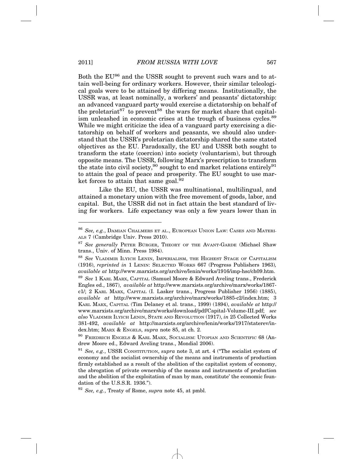Both the EU<sup>86</sup> and the USSR sought to prevent such wars and to attain well-being for ordinary workers. However, their similar teleological goals were to be attained by differing means. Institutionally, the USSR was, at least nominally, a workers' and peasants' dictatorship: an advanced vanguard party would exercise a dictatorship on behalf of the proletariat<sup>87</sup> to prevent<sup>88</sup> the wars for market share that capitalism unleashed in economic crises at the trough of business cycles.<sup>89</sup> While we might criticize the idea of a vanguard party exercising a dictatorship on behalf of workers and peasants, we should also understand that the USSR's proletarian dictatorship shared the same stated objectives as the EU. Paradoxally, the EU and USSR both sought to transform the state (coercion) into society (voluntarism), but through opposite means. The USSR, following Marx's prescription to transform the state into civil society,<sup>90</sup> sought to end market relations entirely<sup>91</sup> to attain the goal of peace and prosperity. The EU sought to use market forces to attain that same goal.  $92$ 

Like the EU, the USSR was multinational, multilingual, and attained a monetary union with the free movement of goods, labor, and capital. But, the USSR did not in fact attain the best standard of living for workers. Life expectancy was only a few years lower than in

<sup>86</sup> *See, e.g.*, DAMIAN CHALMERS ET AL., EUROPEAN UNION LAW: CASES AND MATERI-ALS 7 (Cambridge Univ. Press 2010).

<sup>&</sup>lt;sup>87</sup> See generally PETER BÜRGER, THEORY OF THE AVANT-GARDE (Michael Shaw trans., Univ. of Minn. Press 1984).

<sup>88</sup> *See* VLADIMIR ILYICH LENIN, IMPERIALISM, THE HIGHEST STAGE OF CAPITALISM (1916), *reprinted in* 1 LENIN: SELECTED WORKS 667 (Progress Publishers 1963)*, available at* http://www.marxists.org/archive/lenin/works/1916/imp-hsc/ch09.htm.

<sup>89</sup> *See* 1 KARL MARX, CAPITAL (Samuel Moore & Edward Aveling trans., Frederick Engles ed., 1867), *available at* http://www.marxists.org/archive/marx/works/1867 c1/; 2 KARL MARX, CAPITAL (I. Lasker trans., Progress Publisher 1956) (1885), *available at* http://www.marxists.org/archive/marx/works/1885-c2/index.htm; 3 KARL MARX, CAPITAL (Tim Delaney et al. trans., 1999) (1894), *available at* http:// www.marxists.org/archive/marx/works/download/pdf/Capital-Volume-III.pdf; *see also* VLADIMIR ILYICH LENIN, STATE AND REVOLUTION (1917), *in* 25 Collected Works 381-492, *available at* http://marxists.org/archive/lenin/works/1917/staterev/index.htm; MARX & ENGELS, *supra* note 85, at ch. 2.

<sup>&</sup>lt;sup>90</sup> FRIEDRICH ENGELS & KARL MARX, SOCIALISM: UTOPIAN AND SCIENTIFIC 68 (Andrew Moore ed., Edward Aveling trans., Mondial 2006).

<sup>91</sup> *See, e.g.*, USSR CONSTITUTION, *supra* note 3, at art. 4 ("The socialist system of economy and the socialist ownership of the means and instruments of production firmly established as a result of the abolition of the capitalist system of economy, the abrogation of private ownership of the means and instruments of production and the abolition of the exploitation of man by man, constitute' the economic foundation of the U.S.S.R. 1936.").

<sup>92</sup> *See, e.g.*, Treaty of Rome, *supra* note 45, at pmbl.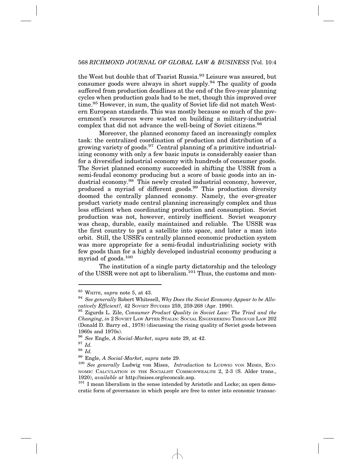the West but double that of Tsarist Russia.<sup>93</sup> Leisure was assured, but consumer goods were always in short supply.<sup>94</sup> The quality of goods suffered from production deadlines at the end of the five-year planning cycles when production goals had to be met, though this improved over time.95 However, in sum, the quality of Soviet life did not match Western European standards. This was mostly because so much of the government's resources were wasted on building a military-industrial complex that did not advance the well-being of Soviet citizens.<sup>96</sup>

Moreover, the planned economy faced an increasingly complex task: the centralized coordination of production and distribution of a growing variety of goods.<sup>97</sup> Central planning of a primitive industrializing economy with only a few basic inputs is considerably easier than for a diversified industrial economy with hundreds of consumer goods. The Soviet planned economy succeeded in shifting the USSR from a semi-feudal economy producing but a score of basic goods into an industrial economy.98 This newly created industrial economy, however, produced a myriad of different goods.<sup>99</sup> This production diversity doomed the centrally planned economy. Namely, the ever-greater product variety made central planning increasingly complex and thus less efficient when coordinating production and consumption. Soviet production was not, however, entirely inefficient. Soviet weaponry was cheap, durable, easily maintained and reliable. The USSR was the first country to put a satellite into space, and later a man into orbit. Still, the USSR's centrally planned economic production system was more appropriate for a semi-feudal industrializing society with few goods than for a highly developed industrial economy producing a myriad of goods.<sup>100</sup>

The institution of a single party dictatorship and the teleology of the USSR were not apt to liberalism.<sup>101</sup> Thus, the customs and mon-

<sup>93</sup> WHITE, *supra* note 5, at 43.

<sup>94</sup> *See generally* Robert Whitesell, *Why Does the Soviet Economy Appear to be Allocatively Efficient?,* 42 SOVIET STUDIES 259, 259-268 (Apr. 1990).

<sup>95</sup> Zigurds L. Zile, *Consumer Product Quality in Soviet Law: The Tried and the Changing*, *in* 2 SOVIET LAW AFTER STALIN: SOCIAL ENGINEERING THROUGH LAW 202 (Donald D. Barry ed., 1978) (discussing the rising quality of Soviet goods between 1960s and 1970s).

<sup>96</sup> *See* Engle, *A Social-Market*, *supra* note 29, at 42.

<sup>97</sup> *Id.*

 $\frac{98}{99}$  *Id.*<br> $\frac{12}{100}$ 

<sup>99</sup> Engle, *A Social-Market*, *supra* note 29.

<sup>100</sup> *See generally* Ludwig von Mises, *Introduction* to LUDWIG VON MISES, ECO-NOMIC CALCULATION IN THE SOCIALIST COMMONWEALTH 2, 2-3 (S. Alder trans., 1920), *available at* http://mises.org/econcalc.asp.

 $101$  I mean liberalism in the sense intended by Aristotle and Locke; an open democratic form of governance in which people are free to enter into economic transac-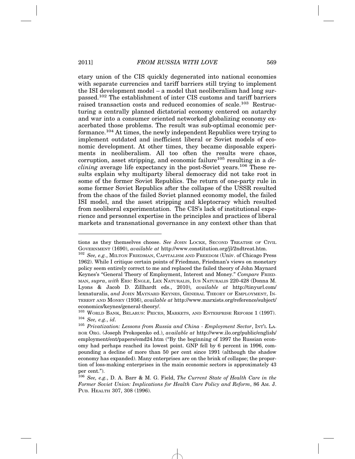etary union of the CIS quickly degenerated into national economies with separate currencies and tariff barriers still trying to implement the ISI development model – a model that neoliberalism had long surpassed.102 The establishment of inter CIS customs and tariff barriers raised transaction costs and reduced economies of scale.<sup>103</sup> Restructuring a centrally planned dictatorial economy centered on autarchy and war into a consumer oriented networked globalizing economy exacerbated those problems. The result was sub-optimal economic performance.<sup>104</sup> At times, the newly independent Republics were trying to implement outdated and inefficient liberal or Soviet models of economic development. At other times, they became disposable experiments in neoliberalism. All too often the results were chaos, corruption, asset stripping, and economic failure<sup>105</sup> resulting in a *declining* average life expectancy in the post-Soviet years.106 These results explain why multiparty liberal democracy did not take root in some of the former Soviet Republics. The return of one-party rule in some former Soviet Republics after the collapse of the USSR resulted from the chaos of the failed Soviet planned economy model, the failed ISI model, and the asset stripping and kleptocracy which resulted from neoliberal experimentation. The CIS's lack of institutional experience and personnel expertise in the principles and practices of liberal markets and transnational governance in any context other than that

tions as they themselves choose. *See* JOHN LOCKE, SECOND TREATISE OF CIVIL GOVERNMENT (1690), *available at* http://www.constitution.org/jl/2ndtreat.htm.

<sup>102</sup> *See, e.g.*, MILTON FRIEDMAN, CAPITALISM AND FREEDOM (Univ. of Chicago Press 1962). While I critique certain points of Friedman, Friedman's views on monetary policy seem entirely correct to me and replaced the failed theory of John Maynard Keynes's "General Theory of Employment, Interest and Money." *Compare* FRIED-MAN, *supra*, *with* ERIC ENGLE, LEX NATURALIS, IUS NATURALIS 220-428 (Donna M. Lyons & Jacob D. Zillhardt eds., 2010), *available at* http://tinyurl.com/ lexnaturalis, *and* JOHN MAYNARD KEYNES, GENERAL THEORY OF EMPLOYMENT, IN-TEREST AND MONEY (1936), *available at* http://www.marxists.org/reference/subject/ economics/keynes/general-theory/.

<sup>103</sup> WORLD BANK, BELARUS: PRICES, MARKETS, AND ENTERPRISE REFORM 1 (1997). <sup>104</sup> *See, e.g.*, *id*.

<sup>105</sup> *Privatization: Lessons from Russia and China - Employment Sector*, INT'L LA-BOR ORG. (Joseph Prokopenko ed.), *available at* http://www.ilo.org/public/english/ employment/ent/papers/emd24.htm ("By the beginning of 1997 the Russian economy had perhaps reached its lowest point. GNP fell by 6 percent in 1996, compounding a decline of more than 50 per cent since 1991 (although the shadow economy has expanded). Many enterprises are on the brink of collapse; the proportion of loss-making enterprises in the main economic sectors is approximately 43 per cent.").

<sup>106</sup> *See, e.g.*, D. A. Barr & M. G. Field, *The Current State of Health Care in the Former Soviet Union: Implications for Health Care Policy and Reform*, 86 AM. J. PUB. HEALTH 307, 308 (1996).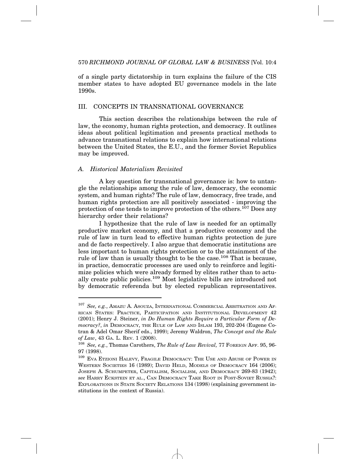of a single party dictatorship in turn explains the failure of the CIS member states to have adopted EU governance models in the late 1990s.

#### III. CONCEPTS IN TRANSNATIONAL GOVERNANCE

This section describes the relationships between the rule of law, the economy, human rights protection, and democracy. It outlines ideas about political legitimation and presents practical methods to advance transnational relations to explain how international relations between the United States, the E.U., and the former Soviet Republics may be improved.

#### *A. Historical Materialism Revisited*

A key question for transnational governance is: how to untangle the relationships among the rule of law, democracy, the economic system, and human rights? The rule of law, democracy, free trade, and human rights protection are all positively associated - improving the protection of one tends to improve protection of the others.107 Does any hierarchy order their relations?

I hypothesize that the rule of law is needed for an optimally productive market economy, and that a productive economy and the rule of law in turn lead to effective human rights protection de jure and de facto respectively. I also argue that democratic institutions are less important to human rights protection or to the attainment of the rule of law than is usually thought to be the case.<sup>108</sup> That is because, in practice, democratic processes are used only to reinforce and legitimize policies which were already formed by elites rather than to actually create public policies.109 Most legislative bills are introduced not by democratic referenda but by elected republican representatives.

<sup>107</sup> *See, e.g.*, AMAZU A. ASOUZA, INTERNATIONAL COMMERCIAL ARBITRATION AND AF-RICAN STATES: PRACTICE, PARTICIPATION AND INSTITUTIONAL DEVELOPMENT 42 (2001); Henry J. Steiner, *in Do Human Rights Require a Particular Form of Democracy?*, *in* DEMOCRACY, THE RULE OF LAW AND ISLAM 193, 202-204 (Eugene Cotran & Adel Omar Sherif eds., 1999); Jeremy Waldron, *The Concept and the Rule of Law*, 43 GA. L. REV. 1 (2008).

<sup>108</sup> *See, e.g.*, Thomas Carothers, *The Rule of Law Revival,* 77 FOREIGN AFF. 95, 96- 97 (1998).

 $^{109}$  EVA ETZIONI HALEVY, FRAGILE DEMOCRACY: THE USE AND ABUSE OF POWER IN WESTERN SOCIETIES 16 (1989); DAVID HELD, MODELS OF DEMOCRACY 164 (2006); JOSEPH A. SCHUMPETER, CAPITALISM, SOCIALISM, AND DEMOCRACY 269-83 (1942); *see* HARRY ECKSTEIN ET AL., CAN DEMOCRACY TAKE ROOT IN POST-SOVIET RUSSIA?: EXPLORATIONS IN STATE SOCIETY RELATIONS 134 (1998) (explaining government institutions in the context of Russia).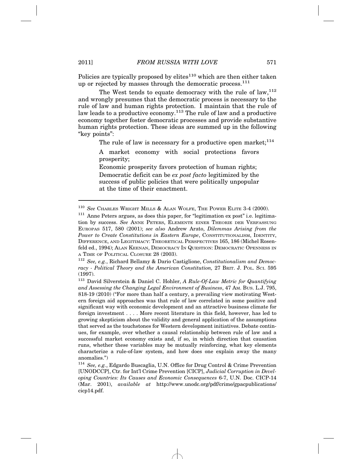Policies are typically proposed by  $\text{elites}^{110}$  which are then either taken up or rejected by masses through the democratic process.<sup>111</sup>

The West tends to equate democracy with the rule of  $law,$ <sup>112</sup> and wrongly presumes that the democratic process is necessary to the rule of law and human rights protection. I maintain that the rule of law leads to a productive economy.<sup>113</sup> The rule of law and a productive economy together foster democratic processes and provide substantive human rights protection. These ideas are summed up in the following "key points":

The rule of law is necessary for a productive open market;  $114$ 

A market economy with social protections favors prosperity;

Economic prosperity favors protection of human rights; Democratic deficit can be *ex post facto* legitimized by the success of public policies that were politically unpopular at the time of their enactment.

<sup>110</sup> *See* CHARLES WRIGHT MILLS & ALAN WOLFE, THE POWER ELITE 3-4 (2000).

<sup>&</sup>lt;sup>111</sup> Anne Peters argues, as does this paper, for "legitimation ex post" i.e. legitimation by success. *See* ANNE PETERS, ELEMENTE EINER THEORIE DER VERFASSUNG EUROPAS 517, 580 (2001); *see also* Andrew Arato, *Dilemmas Arising from the Power to Create Constitutions in Eastern Europe*, CONSTITUTIONALISM, IDENTITY, DIFFERENCE, AND LEGITIMACY: THEORETICAL PERSPECTIVES 165, 186 (Michel Rosenfeld ed., 1994); ALAN KEENAN, DEMOCRACY IN QUESTION: DEMOCRATIC OPENNESS IN A TIME OF POLITICAL CLOSURE 28 (2003).

<sup>112</sup> *See, e.g.*, Richard Bellamy & Dario Castiglione, *Constitutionalism and Democracy - Political Theory and the American Constitution,* 27 BRIT. J. POL. SCI. 595 (1997).

<sup>113</sup> David Silverstein & Daniel C. Hohler, *A Rule-Of-Law Metric for Quantifying and Assessing the Changing Legal Environment of Business*, 47 AM. BUS. L.J. 795, 818-19 (2010) ("For more than half a century, a prevailing view motivating Western foreign aid approaches was that rule of law correlated in some positive and significant way with economic development and an attractive business climate for foreign investment . . . . More recent literature in this field, however, has led to growing skepticism about the validity and general application of the assumptions that served as the touchstones for Western development initiatives. Debate continues, for example, over whether a causal relationship between rule of law and a successful market economy exists and, if so, in which direction that causation runs, whether these variables may be mutually reinforcing, what key elements characterize a rule-of-law system, and how does one explain away the many anomalies.")

<sup>114</sup> *See, e.g.*, Edgardo Buscaglia, U.N. Office for Drug Control & Crime Prevention [UNODCCP], Ctr. for Int'l Crime Prevention [CICP], *Judicial Corruption in Developing Countries: Its Causes and Economic Consequences* 6-7, U.N. Doc. CICP-14 (Mar. 2001), *available at* http://www.unodc.org/pdf/crime/gpacpublications/ cicp14.pdf.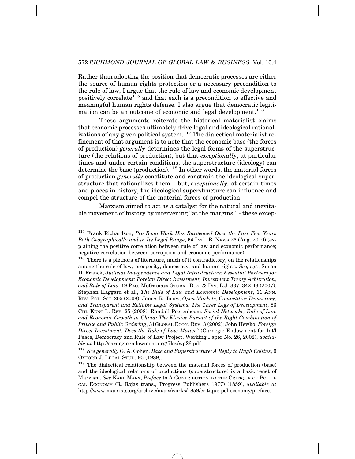Rather than adopting the position that democratic processes are either the source of human rights protection or a necessary precondition to the rule of law, I argue that the rule of law and economic development positively correlate<sup>115</sup> and that each is a precondition to effective and meaningful human rights defense. I also argue that democratic legitimation can be an outcome of economic and legal development.<sup>116</sup>

These arguments reiterate the historical materialist claims that economic processes ultimately drive legal and ideological rationalizations of any given political system.<sup>117</sup> The dialectical materialist refinement of that argument is to note that the economic base (the forces of production) *generally* determines the legal forms of the superstructure (the relations of production), but that *exceptionally*, at particular times and under certain conditions, the superstructure (ideology) can determine the base (production).<sup>118</sup> In other words, the material forces of production *generally* constitute and constrain the ideological superstructure that rationalizes them – but, *exceptionally,* at certain times and places in history, the ideological superstructure can influence and compel the structure of the material forces of production.

Marxism aimed to act as a catalyst for the natural and inevitable movement of history by intervening "at the margins," - these excep-

<sup>115</sup> Frank Richardson, *Pro Bono Work Has Burgeoned Over the Past Few Years Both Geographically and in Its Legal Range*, 64 INT'L B. NEWS 26 (Aug. 2010) (explaining the positive correlation between rule of law and economic performance; negative correlation between corruption and economic performance).

<sup>&</sup>lt;sup>116</sup> There is a plethora of literature, much of it contradictory, on the relationships among the rule of law, prosperity, democracy, and human rights. *See, e.g.*, Susan D. Franck, *Judicial Independence and Legal Infrastructure: Essential Partners for Economic Development: Foreign Direct Investment, Investment Treaty Arbitration, and Rule of Law*, 19 PAC. MCGEORGE GLOBAL BUS. & DIV. L.J. 337, 342-43 (2007); Stephan Haggard et al., *The Rule of Law and Economic Development*, 11 ANN. REV. POL. SCI. 205 (2008); James R. Jones, *Open Markets, Competitive Democracy, and Transparent and Reliable Legal Systems: The Three Legs of Development*, 83 CHI.-KENT L. REV. 25 (2008); Randall Peerenboom. *Social Networks, Rule of Law and Economic Growth in China: The Elusive Pursuit of the Right Combination of Private and Public Ordering*, 31GLOBAL ECON. REV. 3 (2002); John Hewko, *Foreign Direct Investment: Does the Rule of Law Matter?* (Carnegie Endowment for Int'l Peace, Democracy and Rule of Law Project, Working Paper No. 26, 2002), *available at* http://carnegieendowment.org/files/wp26.pdf.

<sup>117</sup> *See generally* G. A. Cohen, *Base and Superstructure: A Reply to Hugh Collins*, 9 OXFORD J. LEGAL STUD. 95 (1989).

<sup>118</sup> The dialectical relationship between the material forces of production (base) and the ideological relations of productions (superstructure) is a basic tenet of Marxism. *See* KARL MARX, *Preface* to A CONTRIBUTION TO THE CRITIQUE OF POLITI-CAL ECONOMY (R. Rojas trans., Progress Publishers 1977) (1859), *available at* http://www.marxists.org/archive/marx/works/1859/critique-pol-economy/preface.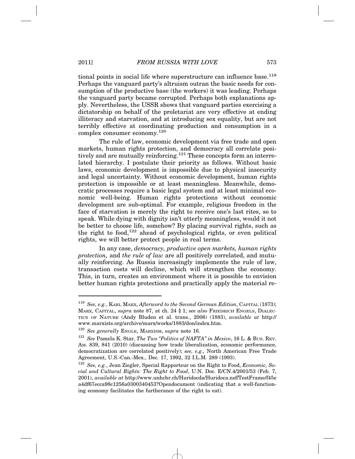tional points in social life where superstructure can influence base.<sup>119</sup> Perhaps the vanguard party's altruism outran the basic needs for consumption of the productive base (the workers) it was leading. Perhaps the vanguard party became corrupted. Perhaps both explanations apply. Nevertheless, the USSR shows that vanguard parties exercising a dictatorship on behalf of the proletariat are very effective at ending illiteracy and starvation, and at introducing sex equality, but are not terribly effective at coordinating production and consumption in a complex consumer economy.120

The rule of law, economic development via free trade and open markets, human rights protection, and democracy all correlate positively and are mutually reinforcing.<sup>121</sup> These concepts form an interrelated hierarchy. I postulate their priority as follows. Without basic laws, economic development is impossible due to physical insecurity and legal uncertainty. Without economic development, human rights protection is impossible or at least meaningless. Meanwhile, democratic processes require a basic legal system and at least minimal economic well-being. Human rights protections without economic development are sub-optimal. For example, religious freedom in the face of starvation is merely the right to receive one's last rites, so to speak. While dying with dignity isn't utterly meaningless, would it not be better to choose life, somehow? By placing survival rights, such as the right to food,<sup>122</sup> ahead of psychological rights, or even political rights, we will better protect people in real terms.

In any case, *democracy, productive open markets, human rights protection,* and *the rule of law* are all positively correlated, and mutually reinforcing. As Russia increasingly implements the rule of law, transaction costs will decline, which will strengthen the economy. This, in turn, creates an environment where it is possible to envision better human rights protections and practically apply the material re-

<sup>119</sup> *See, e.g.*, KARL MARX, *Afterword to the Second German Edition*, CAPITAL (1873); MARX, CAPITAL, *supra* note 87, at ch. 24 § 1; *see also* FRIEDRICH ENGELS, DIALEC-TICS OF NATURE (Andy Bluden et al. trans., 2006) (1883), *available at* http:// www.marxists.org/archive/marx/works/1883/don/index.htm.

<sup>120</sup> *See generally* ENGLE, MARXISM, *supra* note 16.

<sup>121</sup> *See* Pamela K. Star, *The Two "Politics of NAFTA" in Mexico*, 16 L. & BUS. REV. AM. 839, 841 (2010) (discussing how trade liberalization, economic performance, democratization are correlated positively); *see, e.g.,* North American Free Trade Agreement, U.S.-Can.-Mex., Dec. 17, 1992, 32 I.L.M. 289 (1993).

<sup>122</sup> *See, e.g.*, Jean Ziegler, Special Rapporteur on the Right to Food, *Economic, Social and Cultural Rights: The Right to Food*, U.N. Doc. E/CN.4/2001/53 (Feb. 7, 2001), *available at* http://www.unhchr.ch/Huridocda/Huridoca.nsf/TestFrame/f45e a4df67ecca98c1256a0300340453?Opendocument (indicating that a well-functioning economy facilitates the furtherance of the right to eat).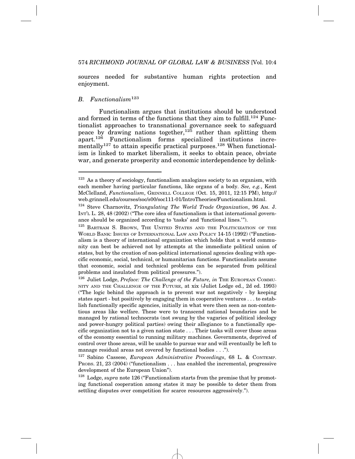sources needed for substantive human rights protection and enjoyment.

#### *B. Functionalism*<sup>123</sup>

Functionalism argues that institutions should be understood and formed in terms of the functions that they aim to fulfill.<sup>124</sup> Functionalist approaches to transnational governance seek to safeguard peace by drawing nations together,<sup>125</sup> rather than splitting them apart.<sup>126</sup> Functionalism forms specialized institutions incrementally<sup>127</sup> to attain specific practical purposes.<sup>128</sup> When functionalism is linked to market liberalism, it seeks to obtain peace, obviate war, and generate prosperity and economic interdependence by delink-

<sup>123</sup> As a theory of sociology, functionalism analogizes society to an organism, with each member having particular functions, like organs of a body. *See, e.g.*, Kent McClelland, *Functionalism*, GRINNELL COLLEGE (Oct. 15, 2011, 12:15 PM), http:// web.grinnell.edu/courses/soc/s00/soc111-01/IntroTheories/Functionalism.html.

<sup>124</sup> Steve Charnovitz, *Triangulating The World Trade Organization*, 96 AM. J. INT'L L. 28, 48 (2002) ("The core idea of functionalism is that international governance should be organized according to 'tasks' and 'functional lines.'").

<sup>&</sup>lt;sup>125</sup> BARTRAM S. BROWN, THE UNITED STATES AND THE POLITICIZATION OF THE WORLD BANK: ISSUES OF INTERNATIONAL LAW AND POLICY 14-15 (1992) ("Functionalism is a theory of international organization which holds that a world community can best be achieved not by attempts at the immediate political union of states, but by the creation of non-political international agencies dealing with specific economic, social, technical, or humanitarian functions. Functionalists assume that economic, social and technical problems can be separated from political problems and insulated from political pressures.").

<sup>&</sup>lt;sup>126</sup> Juliet Lodge, *Preface: The Challenge of the Future, in* THE EUROPEAN COMMU-NITY AND THE CHALLENGE OF THE FUTURE, at xix (Juliet Lodge ed., 2d ed. 1993) ("The logic behind the approach is to prevent war not negatively - by keeping states apart - but positively by engaging them in cooperative ventures . . . to establish functionally specific agencies, initially in what were then seen as non-contentious areas like welfare. These were to transcend national boundaries and be managed by rational technocrats (not swung by the vagaries of political ideology and power-hungry political parties) owing their allegiance to a functionally specific organization not to a given nation state . . . Their tasks will cover those areas of the economy essential to running military machines. Governments, deprived of control over those areas, will be unable to pursue war and will eventually be left to manage residual areas not covered by functional bodies . . .").

<sup>127</sup> Sabino Cassese, *European Administrative Proceedings*, 68 L. & CONTEMP. PROBS. 21, 23 (2004) ("functionalism . . . has enabled the incremental, progressive development of the European Union").

<sup>128</sup> Lodge, *supra* note 126 ("Functionalism starts from the premise that by promoting functional cooperation among states it may be possible to deter them from settling disputes over competition for scarce resources aggressively.").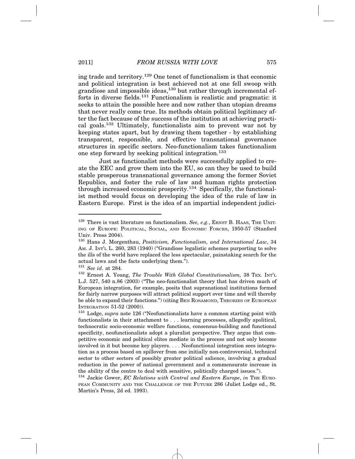ing trade and territory.129 One tenet of functionalism is that economic and political integration is best achieved not at one fell swoop with grandiose and impossible ideas,<sup>130</sup> but rather through incremental efforts in diverse fields.<sup>131</sup> Functionalism is realistic and pragmatic: it seeks to attain the possible here and now rather than utopian dreams that never really come true. Its methods obtain political legitimacy after the fact because of the success of the institution at achieving practical goals.132 Ultimately, functionalists aim to prevent war not by keeping states apart, but by drawing them together - by establishing transparent, responsible, and effective transnational governance structures in specific sectors. Neo-functionalism takes functionalism one step forward by seeking political integration.133

Just as functionalist methods were successfully applied to create the EEC and grow them into the EU, so can they be used to build stable prosperous transnational governance among the former Soviet Republics, and foster the rule of law and human rights protection through increased economic prosperity.134 Specifically, the functionalist method would focus on developing the idea of the rule of law in Eastern Europe. First is the idea of an impartial independent judici-

<sup>129</sup> There is vast literature on functionalism. *See, e.g.*, ERNST B. HAAS, THE UNIT-ING OF EUROPE: POLITICAL, SOCIAL, AND ECONOMIC FORCES, 1950-57 (Stanford Univ. Press 2004).

<sup>130</sup> Hans J. Morgenthau, *Positivism, Functionalism, and International Law*, 34 AM. J. INT'L L. 260, 283 (1940) ("Grandiose legalistic schemes purporting to solve the ills of the world have replaced the less spectacular, painstaking search for the actual laws and the facts underlying them.").

<sup>131</sup> *See id*. at 284.

<sup>132</sup> Ernest A. Young, *The Trouble With Global Constitutionalism,* 38 TEX. INT'L L.J. 527, 540 n.86 (2003) ("The neo-functionalist theory that has driven much of European integration, for example, posits that supranational institutions formed for fairly narrow purposes will attract political support over time and will thereby be able to expand their functions.") (citing BEN ROSAMOND, THEORIES OF EUROPEAN INTEGRATION 51-52 (2000)).

<sup>133</sup> Lodge, *supra* note 126 ("Neofunctionalists have a common starting point with functionalists in their attachment to . . . learning processes, allegedly apolitical, technocratic socio-economic welfare functions, consensus-building and functional specificity, neofunctionalists adopt a pluralist perspective. They argue that competitive economic and political elites mediate in the process and not only become involved in it but become key players. . . . Neofunctional integration sees integration as a process based on spillover from one initially non-controversial, technical sector to other sectors of possibly greater political salience, involving a gradual reduction in the power of national government and a commensurate increase in the ability of the centre to deal with sensitive, politically charged issues.").

<sup>&</sup>lt;sup>134</sup> Jackie Gower, *EC Relations with Central and Eastern Europe*, *in* THE EURO-PEAN COMMUNITY AND THE CHALLENGE OF THE FUTURE 286 (Juliet Lodge ed., St. Martin's Press, 2d ed. 1993).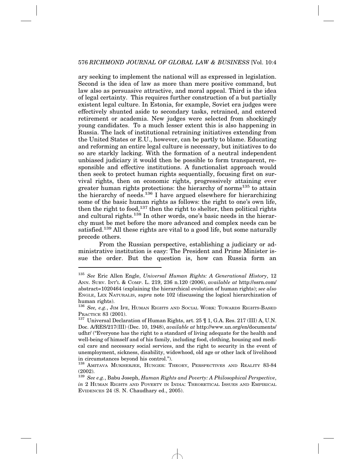ary seeking to implement the national will as expressed in legislation. Second is the idea of law as more than mere positive command, but law also as persuasive attractive, and moral appeal. Third is the idea of legal certainty. This requires further construction of a but partially existent legal culture. In Estonia, for example, Soviet era judges were effectively shunted aside to secondary tasks, retrained, and entered retirement or academia. New judges were selected from shockingly young candidates. To a much lesser extent this is also happening in Russia. The lack of institutional retraining initiatives extending from the United States or E.U., however, can be partly to blame. Educating and reforming an entire legal culture is necessary, but initiatives to do so are starkly lacking. With the formation of a neutral independent unbiased judiciary it would then be possible to form transparent, responsible and effective institutions. A functionalist approach would then seek to protect human rights sequentially, focusing first on survival rights, then on economic rights, progressively attaining ever greater human rights protections: the hierarchy of norms<sup>135</sup> to attain the hierarchy of needs.<sup>136</sup> I have argued elsewhere for hierarchizing some of the basic human rights as follows: the right to one's own life, then the right to food,<sup>137</sup> then the right to shelter, then political rights and cultural rights.<sup>138</sup> In other words, one's basic needs in the hierarchy must be met before the more advanced and complex needs can be satisfied.<sup>139</sup> All these rights are vital to a good life, but some naturally precede others.

From the Russian perspective, establishing a judiciary or administrative institution is easy: The President and Prime Minister issue the order. But the question is, how can Russia form an

<sup>135</sup> *See* Eric Allen Engle, *Universal Human Rights: A Generational History*, 12 ANN. SURV. INT'L & COMP. L. 219, 236 n.120 (2006), *available at* http://ssrn.com/ abstract=1020464 (explaining the hierarchical evolution of human rights); *see also* ENGLE, LEX NATURALIS, *supra* note 102 (discussing the logical hierarchization of human rights).

<sup>136</sup> *See, e.g.*, JIM IFE, HUMAN RIGHTS AND SOCIAL WORK: TOWARDS RIGHTS-BASED PRACTICE 83 (2001).<br><sup>137</sup> Universal Declaration of Human Rights, art. 25 ¶ 1, G.A. Res. 217 (III) A, U.N.

Doc. A/RES/217(III) (Dec. 10, 1948), *available at* http://www.un.org/en/documents/ udhr/ ("Everyone has the right to a standard of living adequate for the health and well-being of himself and of his family, including food, clothing, housing and medical care and necessary social services, and the right to security in the event of unemployment, sickness, disability, widowhood, old age or other lack of livelihood in circumstances beyond his control.").

<sup>138</sup> AMITAVA MUKHERJEE, HUNGER: THEORY, PERSPECTIVES AND REALITY 83-84 (2002).

<sup>139</sup> *See e.g.*, Babu Joseph, *Human Rights and Poverty: A Philosophical Perspective*, *in* 2 HUMAN RIGHTS AND POVERTY IN INDIA: THEORETICAL ISSUES AND EMPIRICAL EVIDENCES 24 (S. N. Chaudhary ed., 2005).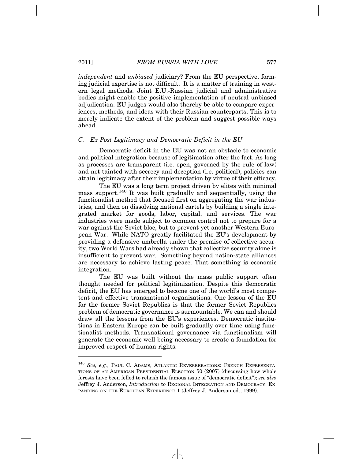*independent* and *unbiased* judiciary? From the EU perspective, forming judicial expertise is not difficult. It is a matter of training in western legal methods. Joint E.U.-Russian judicial and administrative bodies might enable the positive implementation of neutral unbiased adjudication. EU judges would also thereby be able to compare experiences, methods, and ideas with their Russian counterparts. This is to merely indicate the extent of the problem and suggest possible ways ahead.

#### *C. Ex Post Legitimacy and Democratic Deficit in the EU*

Democratic deficit in the EU was not an obstacle to economic and political integration because of legitimation after the fact. As long as processes are transparent (i.e. open, governed by the rule of law) and not tainted with secrecy and deception (i.e. political), policies can attain legitimacy after their implementation by virtue of their efficacy.

The EU was a long term project driven by elites with minimal mass support.<sup>140</sup> It was built gradually and sequentially, using the functionalist method that focused first on aggregating the war industries, and then on dissolving national cartels by building a single integrated market for goods, labor, capital, and services. The war industries were made subject to common control not to prepare for a war against the Soviet bloc, but to prevent yet another Western European War. While NATO greatly facilitated the EU's development by providing a defensive umbrella under the premise of collective security, two World Wars had already shown that collective security alone is insufficient to prevent war. Something beyond nation-state alliances are necessary to achieve lasting peace. That something is economic integration.

The EU was built without the mass public support often thought needed for political legitimization. Despite this democratic deficit, the EU has emerged to become one of the world's most competent and effective transnational organizations. One lesson of the EU for the former Soviet Republics is that the former Soviet Republics problem of democratic governance is surmountable. We can and should draw all the lessons from the EU's experiences. Democratic institutions in Eastern Europe can be built gradually over time using functionalist methods. Transnational governance via functionalism will generate the economic well-being necessary to create a foundation for improved respect of human rights.

<sup>140</sup> *See, e.g.*, PAUL C. ADAMS, ATLANTIC REVERBERATIONS: FRENCH REPRESENTA-TIONS OF AN AMERICAN PRESIDENTIAL ELECTION 50 (2007) (discussing how whole forests have been felled to rehash the famous issue of "democratic deficit"); *see also* Jeffrey J. Anderson, *Introduction* to REGIONAL INTEGRATION AND DEMOCRACY: EX-PANDING ON THE EUROPEAN EXPERIENCE 1 (Jeffrey J. Anderson ed., 1999).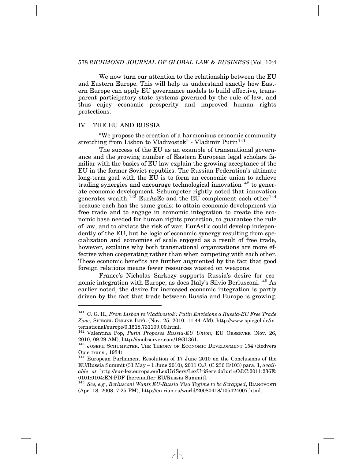We now turn our attention to the relationship between the EU and Eastern Europe. This will help us understand exactly how Eastern Europe can apply EU governance models to build effective, transparent participatory state systems governed by the rule of law, and thus enjoy economic prosperity and improved human rights protections.

#### IV. THE EU AND RUSSIA

"We propose the creation of a harmonious economic community stretching from Lisbon to Vladivostok" - Vladimir Putin<sup>141</sup>

The success of the EU as an example of transnational governance and the growing number of Eastern European legal scholars familiar with the basics of EU law explain the growing acceptance of the EU in the former Soviet republics. The Russian Federation's ultimate long-term goal with the EU is to form an economic union to achieve trading synergies and encourage technological innovation  $142$  to generate economic development. Schumpeter rightly noted that innovation generates wealth.<sup>143</sup> EurAsEc and the EU complement each other<sup>144</sup> because each has the same goals: to attain economic development via free trade and to engage in economic integration to create the economic base needed for human rights protection, to guarantee the rule of law, and to obviate the risk of war. EurAsEc could develop independently of the EU, but he logic of economic synergy resulting from specialization and economies of scale enjoyed as a result of free trade, however, explains why both transnational organizations are more effective when cooperating rather than when competing with each other. These economic benefits are further augmented by the fact that good foreign relations means fewer resources wasted on weapons.

France's Nicholas Sarkozy supports Russia's desire for economic integration with Europe, as does Italy's Silvio Berlusconi.<sup>145</sup> As earlier noted, the desire for increased economic integration is partly driven by the fact that trade between Russia and Europe is growing.

<sup>141</sup> C. G. H., *From Lisbon to Vladivostok': Putin Envisions a Russia-EU Free Trade Zone*, SPIEGEL ONLINE INT'L (Nov. 25, 2010, 11:44 AM), http://www.spiegel.de/international/europe/0,1518,731109,00.html.

<sup>&</sup>lt;sup>142</sup> Valentina Pop, *Putin Proposes Russia-EU Union*, EU OBSERVER (Nov. 26, 2010, 09:29 AM), http://euobserver.com/19/31361.

<sup>143</sup> JOSEPH SCHUMPETER, THE THEORY OF ECONOMIC DEVELOPMENT 154 (Redvers Opie trans., 1934).

 $144$  European Parliament Resolution of 17 June 2010 on the Conclusions of the EU/Russia Summit (31 May – 1 June 2010), 2011 O.J. (C 236 E/103) para. 1, *available at* http://eur-lex.europa.eu/LexUriServ/LexUriServ.do?uri=OJ:C:2011:236E: 0101:0104:EN:PDF [hereinafter EU/Russia Summit].

<sup>145</sup> *See, e.g.*, *Berlusconi Wants EU-Russia Visa Tegime to be Scrapped*, RIANOVOSTI (Apr. 18, 2008, 7:25 PM), http://en.rian.ru/world/20080418/105424007.html.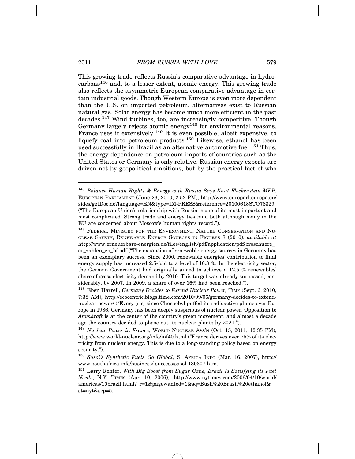This growing trade reflects Russia's comparative advantage in hydro $carbons<sup>146</sup>$  and, to a lesser extent, atomic energy. This growing trade also reflects the asymmetric European comparative advantage in certain industrial goods. Though Western Europe is even more dependent than the U.S. on imported petroleum, alternatives exist to Russian natural gas. Solar energy has become much more efficient in the past decades.147 Wind turbines, too, are increasingly competitive. Though Germany largely rejects atomic energy<sup>148</sup> for environmental reasons, France uses it extensively.<sup>149</sup> It is even possible, albeit expensive, to liquefy coal into petroleum products.<sup>150</sup> Likewise, ethanol has been used successfully in Brazil as an alternative automotive fuel.<sup>151</sup> Thus, the energy dependence on petroleum imports of countries such as the United States or Germany is only relative. Russian energy exports are driven not by geopolitical ambitions, but by the practical fact of who

<sup>146</sup> *Balance Human Rights & Energy with Russia Says Knut Fleckenstein MEP*, EUROPEAN PARLIAMENT (June 23, 2010, 2:52 PM), http://www.europarl.europa.eu/ sides/getDoc.do?language=EN&type=IM-PRESS&reference=20100618STO76329 ("The European Union's relationship with Russia is one of its most important and most complicated. Strong trade and energy ties bind both although many in the EU are concerned about Moscow's human rights record.").

<sup>&</sup>lt;sup>147</sup> FEDERAL MINISTRY FOR THE ENVIRONMENT, NATURE CONSERVATION AND NU-CLEAR SAFETY, RENEWABLE ENERGY SOURCES IN FIGURES 8 (2010), *available at* http://www.erneuerbare-energien.de/files/english/pdf/application/pdf/broschuere\_ ee zahlen en bf.pdf ("The expansion of renewable energy sources in Germany has been an exemplary success. Since 2000, renewable energies' contribution to final energy supply has increased 2.5-fold to a level of 10.3 %. In the electricity sector, the German Government had originally aimed to achieve a 12.5 % renewables' share of gross electricity demand by 2010. This target was already surpassed, considerably, by 2007. In 2009, a share of over 16% had been reached.").

<sup>&</sup>lt;sup>148</sup> Eben Harrell, *Germany Decides to Extend Nuclear Power*, TIME (Sept. 6, 2010, 7:38 AM), http://ecocentric.blogs.time.com/2010/09/06/germany-decides-to-extendnuclear-power/ ("Every [sic] since Chernobyl puffed its radioactive plume over Europe in 1986, Germany has been deeply suspicious of nuclear power. Opposition to *Atomkraft* is at the center of the country's green movement, and almost a decade ago the country decided to phase out its nuclear plants by 2021.").

<sup>149</sup> *Nuclear Power in France*, WORLD NUCLEAR ASS'N (Oct. 15, 2011, 12:35 PM), http://www.world-nuclear.org/info/inf40.html ("France derives over 75% of its electricity from nuclear energy. This is due to a long-standing policy based on energy security.").

<sup>150</sup> *Sasol's Synthetic Fuels Go Global*, S. AFRICA INFO (Mar. 16, 2007), http:// www.southafrica.info/business/ success/sasol-130307.htm.

<sup>151</sup> Larry Rohter, *With Big Boost from Sugar Cane, Brazil Is Satisfying its Fuel Needs*, N.Y. TIMES (Apr. 10, 2006), http://www.nytimes.com/2006/04/10/world/ americas/10brazil.html?\_r=1&pagewanted=1&sq=Bush%20Brazil%20ethanol& st=nyt&scp=5.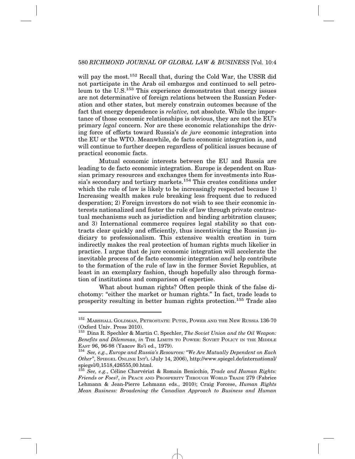will pay the most.<sup>152</sup> Recall that, during the Cold War, the USSR did not participate in the Arab oil embargos and continued to sell petroleum to the U.S.<sup>153</sup> This experience demonstrates that energy issues are not determinative of foreign relations between the Russian Federation and other states, but merely constrain outcomes because of the fact that energy dependence is *relative,* not absolute. While the importance of those economic relationships is obvious, they are not the EU's primary *legal* concern. Nor are these economic relationships the driving force of efforts toward Russia's *de jure* economic integration into the EU or the WTO. Meanwhile, de facto economic integration is, and will continue to further deepen regardless of political issues because of practical economic facts.

Mutual economic interests between the EU and Russia are leading to de facto economic integration. Europe is dependent on Russian primary resources and exchanges them for investments into Russia's secondary and tertiary markets.<sup>154</sup> This creates conditions under which the rule of law is likely to be increasingly respected because 1) Increasing wealth makes rule breaking less frequent due to reduced desperation; 2) Foreign investors do not wish to see their economic interests nationalized and foster the rule of law through private contractual mechanisms such as jurisdiction and binding arbitration clauses; and 3) International commerce requires legal stability so that contracts clear quickly and efficiently, thus incentivizing the Russian judiciary to professionalism. This extensive wealth creation in turn indirectly makes the real protection of human rights much likelier in practice. I argue that de jure economic integration will accelerate the inevitable process of de facto economic integration *and* help contribute to the formation of the rule of law in the former Soviet Republics, at least in an exemplary fashion, though hopefully also through formation of institutions and comparison of expertise.

What about human rights? Often people think of the false dichotomy: "either the market or human rights." In fact, trade leads to prosperity resulting in better human rights protection.155 Trade also

<sup>152</sup> MARSHALL GOLDMAN, PETROSTATE: PUTIN, POWER AND THE NEW RUSSIA 136-70 (Oxford Univ. Press 2010).

<sup>153</sup> Dina R. Spechler & Martin C. Spechler, *The Soviet Union and the Oil Weapon: Benefits and Dilemmas, in* The LIMITS TO POWER: SOVIET POLICY IN THE MIDDLE EAST 96, 96-98 (Yaacov Ro'i ed., 1979).

<sup>&</sup>lt;sup>154</sup> See, e.g., *Europe and Russia's Resources: "We Are Mutually Dependent on Each Other"*, SPIEGEL ONLINE INT'L (July 14, 2006), http://www.spiegel.de/international/ spiegel/0,1518,426555,00.html.

<sup>&</sup>lt;sup>155</sup> See, e.g., Céline Charvériat & Romain Benicchio, *Trade and Human Rights*: *Friends or Foes?*, *in* PEACE AND PROSPERITY THROUGH WORLD TRADE 279 (Fabrice Lehmann & Jean-Pierre Lehmann eds., 2010); Craig Forcese, *Human Rights Mean Business: Broadening the Canadian Approach to Business and Human*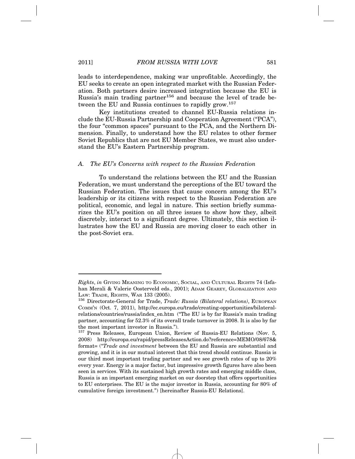leads to interdependence, making war unprofitable. Accordingly, the EU seeks to create an open integrated market with the Russian Federation. Both partners desire increased integration because the EU is Russia's main trading partner<sup>156</sup> and because the level of trade between the EU and Russia continues to rapidly grow.<sup>157</sup>

Key institutions created to channel EU-Russia relations include the EU-Russia Partnership and Cooperation Agreement ("PCA"), the four "common spaces" pursuant to the PCA, and the Northern Dimension. Finally, to understand how the EU relates to other former Soviet Republics that are not EU Member States, we must also understand the EU's Eastern Partnership program.

#### *A. The EU's Concerns with respect to the Russian Federation*

To understand the relations between the EU and the Russian Federation, we must understand the perceptions of the EU toward the Russian Federation. The issues that cause concern among the EU's leadership or its citizens with respect to the Russian Federation are political, economic, and legal in nature. This section briefly summarizes the EU's position on all three issues to show how they, albeit discretely, interact to a significant degree. Ultimately, this section illustrates how the EU and Russia are moving closer to each other in the post-Soviet era.

*Rights*, *in* GIVING MEANING TO ECONOMIC, SOCIAL, AND CULTURAL RIGHTS 74 (Isfahan Merali & Valerie Oosterveld eds., 2001); ADAM GEAREY, GLOBALIZATION AND

LAW: TRADE, RIGHTS, WAR 133 (2005).<br><sup>156</sup> Directorate-General for Trade, *Trade: Russia (Bilateral relations)*, EUROPEAN COMM'N (Oct. 7, 2011), http://ec.europa.eu/trade/creating-opportunities/bilateralrelations/countries/russia/index\_en.htm ("The EU is by far Russia's main trading partner, accounting for 52.3% of its overall trade turnover in 2008. It is also by far the most important investor in Russia.").

<sup>&</sup>lt;sup>157</sup> Press Releases, European Union, Review of Russia-EU Relations (Nov. 5, 2008) http://europa.eu/rapid/pressReleasesAction.do?reference=MEMO/08/678& format= ("*Trade and investment* between the EU and Russia are substantial and growing, and it is in our mutual interest that this trend should continue. Russia is our third most important trading partner and we see growth rates of up to 20% every year. Energy is a major factor, but impressive growth figures have also been seen in services. With its sustained high growth rates and emerging middle class, Russia is an important emerging market on our doorstep that offers opportunities to EU enterprises. The EU is the major investor in Russia, accounting for 80% of cumulative foreign investment.") [hereinafter Russia-EU Relations].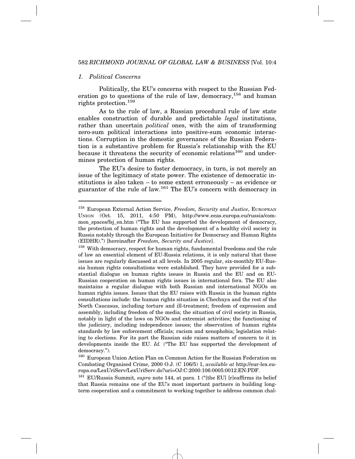## *1. Political Concerns*

Politically, the EU's concerns with respect to the Russian Federation go to questions of the rule of law, democracy,<sup>158</sup> and human rights protection.159

As to the rule of law, a Russian procedural rule of law state enables construction of durable and predictable *legal* institutions, rather than uncertain *political* ones, with the aim of transforming zero-sum political interactions into positive-sum economic interactions. Corruption in the domestic governance of the Russian Federation is a substantive problem for Russia's relationship with the EU because it threatens the security of economic relations<sup>160</sup> and undermines protection of human rights.

The EU's desire to foster democracy, in turn, is not merely an issue of the legitimacy of state power. The existence of democratic institutions is also taken – to some extent erroneously – as evidence or guarantor of the rule of law.161 The EU's concern with democracy in

<sup>160</sup> European Union Action Plan on Common Action for the Russian Federation on Combating Organised Crime, 2000 O.J. (C 106/5) 1, *available at* http://eur-lex.europa.eu/LexUriServ/LexUriServ.do?uri=OJ:C:2000:106:0005:0012:EN:PDF.

<sup>161</sup> EU/Russia Summit, *supra* note 144, at para. 1 ("[the EU] [r]eaffirms its belief that Russia remains one of the EU's most important partners in building longterm cooperation and a commitment to working together to address common chal-

<sup>158</sup> European External Action Service, *Freedom, Security and Justice*, EUROPEAN UNION (Oct. 15, 2011, 4:50 PM), http://www.eeas.europa.eu/russia/common spaces/fsj\_en.htm ("The EU has supported the development of democracy, the protection of human rights and the development of a healthy civil society in Russia notably through the European Initiative for Democracy and Human Rights (EIDHR).") [hereinafter *Freedom, Security and Justice*].

<sup>&</sup>lt;sup>159</sup> With democracy, respect for human rights, fundamental freedoms and the rule of law an essential element of EU-Russia relations, it is only natural that these issues are regularly discussed at all levels. In 2005 regular, six-monthly EU-Russia human rights consultations were established. They have provided for a substantial dialogue on human rights issues in Russia and the EU and on EU-Russian cooperation on human rights issues in international fora. The EU also maintains a regular dialogue with both Russian and international NGOs on human rights issues. Issues that the EU raises with Russia in the human rights consultations include: the human rights situation in Chechnya and the rest of the North Caucasus, including torture and ill-treatment; freedom of expression and assembly, including freedom of the media; the situation of civil society in Russia, notably in light of the laws on NGOs and extremist activities; the functioning of the judiciary, including independence issues; the observation of human rights standards by law enforcement officials; racism and xenophobia; legislation relating to elections. For its part the Russian side raises matters of concern to it in developments inside the EU. *Id.* ("The EU has supported the development of democracy.").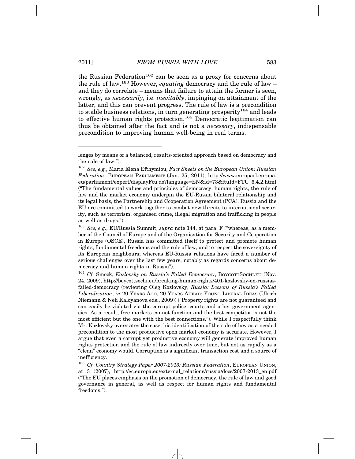the Russian Federation<sup>162</sup> can be seen as a proxy for concerns about the rule of law.163 However, *equating* democracy and the rule of law – and they do correlate – means that failure to attain the former is seen, wrongly, as *necessarily*, i.e. *inevitably*, impinging on attainment of the latter, and this can prevent progress. The rule of law is a precondition to stable business relations, in turn generating prosperity<sup>164</sup> and leads to effective human rights protection.<sup>165</sup> Democratic legitimation can thus be obtained after the fact and is not a *necessary*, indispensable precondition to improving human well-being in real terms.

lenges by means of a balanced, results-oriented approach based on democracy and the rule of law.").

<sup>162</sup> *See, e.g.*, Maria Elena Efthymiou, *Fact Sheets on the European Union: Russian Federation*, EUROPEAN PARLIAMENT (Jan. 25, 2011), http://www.europarl.europa. eu/parliament/expert/displayFtu.do?language=EN&id=73&ftuId=FTU\_6.4.2.html ("The fundamental values and principles of democracy, human rights, the rule of law and the market economy underpin the EU-Russia bilateral relationship and its legal basis, the Partnership and Cooperation Agreement (PCA). Russia and the EU are committed to work together to combat new threats to international security, such as terrorism, organised crime, illegal migration and trafficking in people as well as drugs.").

<sup>163</sup> *See, e.g.*, EU/Russia Summit, *supra* note 144, at para. F ("whereas, as a member of the Council of Europe and of the Organisation for Security and Cooperation in Europe (OSCE), Russia has committed itself to protect and promote human rights, fundamental freedoms and the rule of law, and to respect the sovereignty of its European neighbours; whereas EU-Russia relations have faced a number of serious challenges over the last few years, notably as regards concerns about democracy and human rights in Russia").

<sup>164</sup> *Cf.* Smock, *Kozlovsky on Russia's Failed Democracy*, BOYCOTTSOCHI.EU (Nov. 24, 2009), http://boycottsochi.eu/breaking-human-rights/401-kozlovsky-on-russiasfailed-democracy (reviewing Oleg Kozlovsky, *Russia: Lessons of Russia's Failed Liberalization*, *in* 20 YEARS AGO, 20 YEARS AHEAD: YOUNG LIBERAL IDEAS (Ulrich Niemann & Neli Kaloyanova eds., 2009)) ("Property rights are not guaranteed and can easily be violated via the corrupt police, courts and other government agencies. As a result, free markets cannot function and the best competitor is not the most efficient but the one with the best connections."). While I respectfully think Mr. Kozlovsky overstates the case, his identification of the rule of law as a needed precondition to the most productive open market economy is accurate. However, I argue that even a corrupt yet productive economy will generate improved human rights protection and the rule of law indirectly over time, but not as rapidly as a "clean" economy would. Corruption is a significant transaction cost and a source of inefficiency.

<sup>165</sup> *Cf. Country Strategy Paper 2007-2013: Russian Federation*, EUROPEAN UNION, at 3 (2007), http://ec.europa.eu/external\_relations/russia/docs/2007-2013\_en.pdf ("The EU places emphasis on the promotion of democracy, the rule of law and good governance in general, as well as respect for human rights and fundamental freedoms.").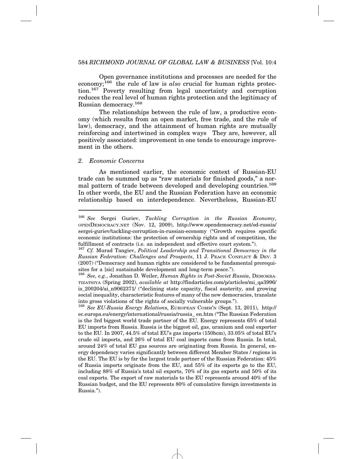Open governance institutions and processes are needed for the economy;166 the rule of law is *also* crucial for human rights protection.167 Poverty resulting from legal uncertainty and corruption reduces the real level of human rights protection and the legitimacy of Russian democracy.168

The relationships between the rule of law, a productive economy (which results from an open market, free trade, and the rule of law), democracy, and the attainment of human rights are mutually reinforcing and intertwined in complex ways They are, however, all positively associated: improvement in one tends to encourage improvement in the others.

#### *2. Economic Concerns*

As mentioned earlier, the economic context of Russian-EU trade can be summed up as "raw materials for finished goods," a normal pattern of trade between developed and developing countries.<sup>169</sup> In other words, the EU and the Russian Federation have an economic relationship based on interdependence. Nevertheless, Russian-EU

<sup>166</sup> *See* Sergei Guriev, *Tackling Corruption in the Russian Economy*, OPENDEMOCRACY.NET (Nov. 12, 2009), http://www.opendemocracy.net/od-russia/ sergei-guriev/tackling-corruption-in-russian-economy ("Growth requires specific economic institutions: the protection of ownership rights and of competition, the fulfillment of contracts (i.e. an independent and effective court system.").

<sup>167</sup> *Cf.* Murad Tangiev, *Political Leadership and Transitional Democracy in the Russian Federation: Challenges and Prospects*, 11 J. PEACE CONFLICT & DEV. 3 (2007) ("Democracy and human rights are considered to be fundamental prerequisites for a [sic] sustainable development and long-term peace.").

<sup>168</sup> *See, e.g.*, Jonathan D. Weiler, *Human Rights in Post-Soviet Russia*, DEMOKRA-TIZATSIYA (Spring 2002), *available at* http://findarticles.com/p/articles/mi\_qa3996/ is\_200204/ai\_n9062371/ ("declining state capacity, fiscal austerity, and growing social inequality, characteristic features of many of the new democracies, translate into gross violations of the rights of socially vulnerable groups.").

<sup>169</sup> *See EU-Russia Energy Relation*s, EUROPEAN COMM'N (Sept. 13, 2011), http:// ec.europa.eu/energy/international/russia/russia\_ en.htm ("The Russian Federation is the 3rd biggest world trade partner of the EU. Energy represents 65% of total EU imports from Russia. Russia is the biggest oil, gas, uranium and coal exporter to the EU. In 2007, 44.5% of total EU's gas imports (150bcm), 33.05% of total EU's crude oil imports, and 26% of total EU coal imports came from Russia. In total, around 24% of total EU gas sources are originating from Russia. In general, energy dependency varies significantly between different Member States / regions in the EU. The EU is by far the largest trade partner of the Russian Federation: 45% of Russia imports originate from the EU, and 55% of its exports go to the EU, including 88% of Russia's total oil exports, 70% of its gas exports and 50% of its coal exports. The export of raw materials to the EU represents around 40% of the Russian budget, and the EU represents 80% of cumulative foreign investments in Russia.").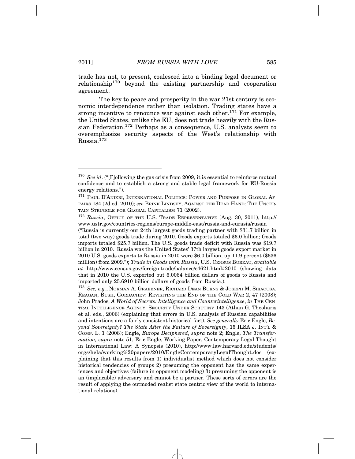trade has not, to present, coalesced into a binding legal document or  $relationship<sup>170</sup>$  beyond the existing partnership and cooperation agreement.

The key to peace and prosperity in the war 21st century is economic interdependence rather than isolation. Trading states have a strong incentive to renounce war against each other.<sup>171</sup> For example, the United States, unlike the EU, does not trade heavily with the Russian Federation.172 Perhaps as a consequence, U.S. analysts seem to overemphasize security aspects of the West's relationship with Russia.173

<sup>&</sup>lt;sup>170</sup> See id. ("[F]ollowing the gas crisis from 2009, it is essential to reinforce mutual confidence and to establish a strong and stable legal framework for EU-Russia energy relations.").

<sup>&</sup>lt;sup>171</sup> PAUL D'ANIERI, INTERNATIONAL POLITICS: POWER AND PURPOSE IN GLOBAL AF-FAIRS 184 (2d ed. 2010); *see* BRINK LINDSEY, AGAINST THE DEAD HAND: THE UNCER-TAIN STRUGGLE FOR GLOBAL CAPITALISM 71 (2002).

<sup>172</sup> *Russia*, OFFICE OF THE U.S. TRADE REPRESENTATIVE (Aug. 30, 2011), http:// www.ustr.gov/countries-regions/europe-middle-east/russia-and-eurasia/russia

<sup>(&</sup>quot;Russia is currently our 24th largest goods trading partner with \$31.7 billion in total (two way) goods trade during 2010. Goods exports totaled \$6.0 billion; Goods imports totaled \$25.7 billion. The U.S. goods trade deficit with Russia was \$19.7 billion in 2010. Russia was the United States' 37th largest goods export market in 2010 U.S. goods exports to Russia in 2010 were \$6.0 billion, up 11.9 percent (\$636 million) from 2009."); *Trade in Goods with Russia*, U.S. CENSUS BUREAU, *available at* http://www.census.gov/foreign-trade/balance/c4621.html#2010 (showing data that in 2010 the U.S. exported but 6.0064 billion dollars of goods to Russia and imported only 25.6910 billion dollars of goods from Russia.).

<sup>173</sup> *See, e.g.*, NORMAN A. GRAEBNER, RICHARD DEAN BURNS & JOSEPH M. SIRACUSA, REAGAN, BUSH, GORBACHEV: REVISITING THE END OF THE COLD WAR 2, 47 (2008); John Prados, *A World of Secrets: Intelligence and Counterintelligence*, *in* THE CEN-TRAL INTELLIGENCE AGENCY: SECURITY UNDER SCRUTINY 143 (Athan G. Theoharis et al. eds., 2006) (explaining that errors in U.S. analysis of Russian capabilities and intentions are a fairly consistent historical fact). *See generally* Eric Engle, *Beyond Sovereignty? The State After the Failure of Sovereignty*, 15 ILSA J. INT'L & COMP. L. 1 (2008); Engle, *Europe Deciphered*, *supra* note 2; Engle, *The Transformation, supra* note 51; Eric Engle, Working Paper, Contemporary Legal Thought in International Law: A Synopsis (2010), http://www.law.harvard.edu/students/ orgs/hela/working%20papers/2010/EngleContemporaryLegalThought.doc (explaining that this results from 1) individualist method which does not consider historical tendencies of groups 2) presuming the opponent has the same experiences and objectives (failure in opponent modeling) 3) presuming the opponent is an (implacable) adversary and cannot be a partner. These sorts of errors are the result of applying the outmoded realist state centric view of the world to international relations).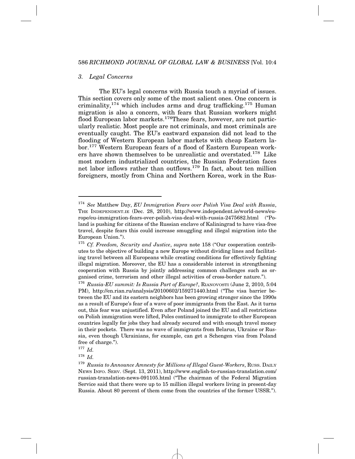#### *3. Legal Concerns*

The EU's legal concerns with Russia touch a myriad of issues. This section covers only some of the most salient ones. One concern is criminality,  $174$  which includes arms and drug trafficking.  $175$  Human migration is also a concern, with fears that Russian workers might flood European labor markets.<sup>176</sup>These fears, however, are not particularly realistic. Most people are not criminals, and most criminals are eventually caught. The EU's eastward expansion did not lead to the flooding of Western European labor markets with cheap Eastern labor.<sup>177</sup> Western European fears of a flood of Eastern European workers have shown themselves to be unrealistic and overstated.178 Like most modern industrialized countries, the Russian Federation faces net labor inflows rather than outflows.179 In fact, about ten million foreigners, mostly from China and Northern Korea, work in the Rus-

<sup>178</sup> *Id.*

<sup>174</sup> *See* Matthew Day, *EU Immigration Fears over Polish Visa Deal with Russia*, THE INDEPENDENT.IE (Dec. 28, 2010), http://www.independent.ie/world-news/europe/eu-immigration-fears-over-polish-visa-deal-with-russia-2475682.html ("Poland is pushing for citizens of the Russian enclave of Kaliningrad to have visa-free travel, despite fears this could increase smuggling and illegal migration into the European Union.").

<sup>175</sup> *Cf. Freedom, Security and Justice*, *supra* note 158 ("Our cooperation contributes to the objective of building a new Europe without dividing lines and facilitating travel between all Europeans while creating conditions for effectively fighting illegal migration. Moreover, the EU has a considerable interest in strengthening cooperation with Russia by jointly addressing common challenges such as organised crime, terrorism and other illegal activities of cross-border nature.").

<sup>176</sup> *Russia-EU summit: Is Russia Part of Europe?*, RIANOVOSTI (June 2, 2010, 5:04 PM), http://en.rian.ru/analysis/20100602/159271440.html ("The visa barrier between the EU and its eastern neighbors has been growing stronger since the 1990s as a result of Europe's fear of a wave of poor immigrants from the East. As it turns out, this fear was unjustified. Even after Poland joined the EU and all restrictions on Polish immigration were lifted, Poles continued to immigrate to other European countries legally for jobs they had already secured and with enough travel money in their pockets. There was no wave of immigrants from Belarus, Ukraine or Russia, even though Ukrainians, for example, can get a Schengen visa from Poland free of charge.").

<sup>177</sup> *Id.*

<sup>&</sup>lt;sup>179</sup> Russia to Announce Amnesty for Millions of Illegal Guest-Workers, RUSS. DAILY NEWS INFO. SERV. (Sept. 13, 2011), http://www.english-to-russian-translation.com/ russian-translation-news-091105.html ("The chairman of the Federal Migration Service said that there were up to 15 million illegal workers living in present-day Russia. About 80 percent of them come from the countries of the former USSR.").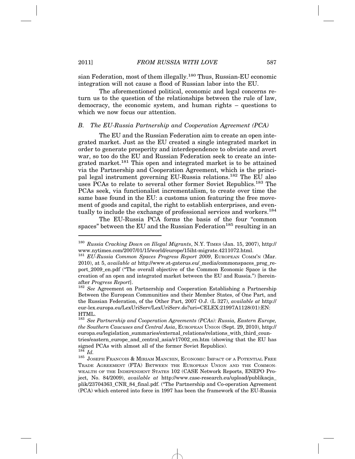sian Federation, most of them illegally.<sup>180</sup> Thus, Russian-EU economic integration will not cause a flood of Russian labor into the EU.

The aforementioned political, economic and legal concerns return us to the question of the relationships between the rule of law, democracy, the economic system, and human rights – questions to which we now focus our attention.

#### *B. The EU-Russia Partnership and Cooperation Agreement (PCA)*

The EU and the Russian Federation aim to create an open integrated market. Just as the EU created a single integrated market in order to generate prosperity and interdependence to obviate and avert war, so too do the EU and Russian Federation seek to create an integrated market.181 This open and integrated market is to be attained via the Partnership and Cooperation Agreement, which is the principal legal instrument governing EU-Russia relations.182 The EU also uses PCAs to relate to several other former Soviet Republics.183 The PCAs seek, via functionalist incrementalism, to create over time the same base found in the EU: a customs union featuring the free movement of goods and capital, the right to establish enterprises, and eventually to include the exchange of professional services and workers.<sup>184</sup>

The EU-Russia PCA forms the basis of the four "common spaces" between the EU and the Russian Federation<sup>185</sup> resulting in an

<sup>180</sup> *Russia Cracking Down on Illegal Migrants*, N.Y. TIMES (Jan. 15, 2007), http:// www.nytimes.com/2007/01/15/world/europe/15iht-migrate.4211072.html.

<sup>181</sup> *EU-Russia Common Spaces Progress Report 2009*, EUROPEAN COMM'N (Mar. 2010), at 5, *available at* http://www.st-gaterus.eu/\_media/commonspaces\_prog\_report\_2009\_en.pdf ("The overall objective of the Common Economic Space is the creation of an open and integrated market between the EU and Russia.") [hereinafter *Progress Report*].<br><sup>182</sup> *See* Agreement on Partnership and Cooperation Establishing a Partnership

Between the European Communities and their Member States, of One Part, and the Russian Federation, of the Other Part, 2007 O.J. (L 327), *available at* http:// eur-lex.europa.eu/LexUriServ/LexUriServ.do?uri=CELEX:21997A1128(01):EN: HTML.

<sup>183</sup> *See Partnership and Cooperation Agreements (PCAs): Russia, Eastern Europe, the Southern Caucuses and Central Asia*, EUROPEAN UNION (Sept. 29, 2010), http:// europa.eu/legislation\_summaries/external\_relations/relations\_with\_third\_countries/eastern\_europe\_and\_central\_asia/r17002\_en.htm (showing that the EU has signed PCAs with almost all of the former Soviet Republics).  $^{184}$   $_{\textit{LJ}}$ 

<sup>&</sup>lt;sup>185</sup> JOSEPH FRANCOIS & MIRIAM MANCHIN, ECONOMIC IMPACT OF A POTENTIAL FREE TRADE AGREEMENT (FTA) BETWEEN THE EUROPEAN UNION AND THE COMMON-WEALTH OF THE INDEPENDENT STATES 102 (CASE Network Reports, ENEPO Project, No. 84/2009), *available at* http://www.case-research.eu/upload/publikacja\_ plik/23704363\_CNR\_84\_final.pdf. ("The Partnership and Co-operation Agreement (PCA) which entered into force in 1997 has been the framework of the EU-Russia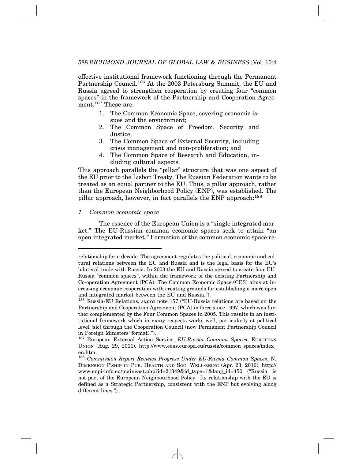effective institutional framework functioning through the Permanent Partnership Council.186 At the 2003 Petersburg Summit, the EU and Russia agreed to strengthen cooperation by creating four "common spaces" in the framework of the Partnership and Cooperation Agreement.<sup>187</sup> These are:

- 1. The Common Economic Space, covering economic issues and the environment;
- 2. The Common Space of Freedom, Security and Justice;
- 3. The Common Space of External Security, including crisis management and non-proliferation; and
- 4. The Common Space of Research and Education, including cultural aspects.

This approach parallels the "pillar" structure that was one aspect of the EU prior to the Lisbon Treaty. The Russian Federation wants to be treated as an equal partner to the EU. Thus, a pillar approach, rather than the European Neighborhood Policy (ENP), was established. The pillar approach, however, in fact parallels the ENP approach:<sup>188</sup>

#### *1. Common economic space*

The essence of the European Union is a "single integrated market." The EU-Russian common economic spaces seek to attain "an open integrated market." Formation of the common economic space re-

relationship for a decade. The agreement regulates the political, economic and cultural relations between the EU and Russia and is the legal basis for the EU's bilateral trade with Russia. In 2003 the EU and Russia agreed to create four EU-Russia "common spaces", within the framework of the existing Partnership and Co-operation Agreement (PCA). The Common Economic Space (CES) aims at increasing economic cooperation with creating grounds for establishing a more open and integrated market between the EU and Russia.").

<sup>186</sup> Russia-EU Relations, *supra* note 157 ("EU-Russia relations are based on the Partnership and Cooperation Agreement (PCA) in force since 1997, which was further complemented by the Four Common Spaces in 2005. This results in an institutional framework which in many respects works well, particularly at political level [sic] through the Cooperation Council (now Permanent Partnership Council in Foreign Ministers' format).").

<sup>&</sup>lt;sup>187</sup> European External Action Service, *EU-Russia Common Spaces*, EUROPEAN UNION (Aug. 29, 2011)*,* http://www.eeas.europa.eu/russia/common\_spaces/index\_ en.htm.

<sup>188</sup> *Commission Report Reviews Progress Under EU-Russia Common Spaces*, N. DIMENSION P'SHIP IN PUB. HEALTH AND SOC. WELL-BEING (Apr. 23, 2010), http:// www.enpi-info.eu/maineast.php?id=21349&id\_type=1&lang\_id=450 ("Russia is not part of the European Neighbourhood Policy. Its relationship with the EU is defined as a Strategic Partnership, consistent with the ENP but evolving along different lines.").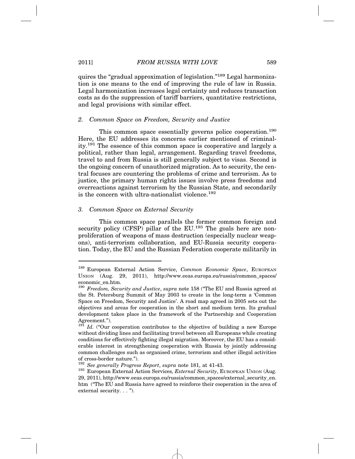quires the "gradual approximation of legislation."189 Legal harmonization is one means to the end of improving the rule of law in Russia. Legal harmonization increases legal certainty and reduces transaction costs as do the suppression of tariff barriers, quantitative restrictions, and legal provisions with similar effect.

#### *2. Common Space on Freedom, Security and Justice*

This common space essentially governs police cooperation.<sup>190</sup> Here, the EU addresses its concerns earlier mentioned of criminality.191 The essence of this common space is cooperative and largely a political, rather than legal, arrangement. Regarding travel freedoms, travel to and from Russia is still generally subject to visas. Second is the ongoing concern of unauthorized migration. As to security, the central focuses are countering the problems of crime and terrorism. As to justice, the primary human rights issues involve press freedoms and overreactions against terrorism by the Russian State, and secondarily is the concern with ultra-nationalist violence.<sup>192</sup>

#### *3. Common Space on External Security*

This common space parallels the former common foreign and security policy  $(CFSP)$  pillar of the EU.<sup>193</sup> The goals here are nonproliferation of weapons of mass destruction (especially nuclear weapons), anti-terrorism collaboration, and EU-Russia security cooperation. Today, the EU and the Russian Federation cooperate militarily in

<sup>189</sup> European External Action Service, *Common Economic Space*, EUROPEAN UNION (Aug. 29, 2011), http://www.eeas.europa.eu/russia/common\_spaces/ economic\_en.htm.

<sup>190</sup> *Freedom, Security and Justice*, *supra* note 158 ("The EU and Russia agreed at the St. Petersburg Summit of May 2003 to create in the long-term a 'Common Space on Freedom, Security and Justice'. A road map agreed in 2005 sets out the objectives and areas for cooperation in the short and medium term. Its gradual development takes place in the framework of the Partnership and Cooperation Agreement.").

 $191$  *Id.* ("Our cooperation contributes to the objective of building a new Europe without dividing lines and facilitating travel between all Europeans while creating conditions for effectively fighting illegal migration. Moreover, the EU has a considerable interest in strengthening cooperation with Russia by jointly addressing common challenges such as organised crime, terrorism and other illegal activities of cross-border nature.").<br><sup>192</sup> See generally Progress Report, supra note 181, at 41-43.

<sup>&</sup>lt;sup>193</sup> European External Action Services, *External Security*, EUROPEAN UNION (Aug. 29, 2011), http://www.eeas.europa.eu/russia/common\_spaces/external\_security\_en. htm ("The EU and Russia have agreed to reinforce their cooperation in the area of external security. . . ").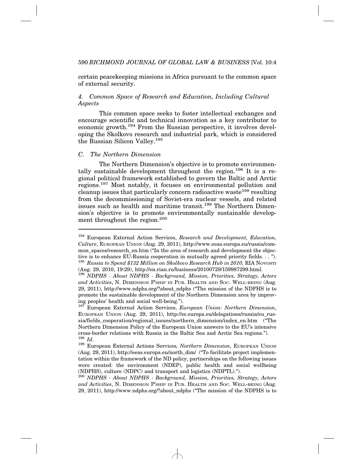certain peacekeeping missions in Africa pursuant to the common space of external security.

# *4. Common Space of Research and Education, Including Cultural Aspects*

This common space seeks to foster intellectual exchanges and encourage scientific and technical innovation as a key contributor to economic growth.194 From the Russian perspective, it involves developing the Skolkovo research and industrial park, which is considered the Russian Silicon Valley.195

#### *C. The Northern Dimension*

The Northern Dimension's objective is to promote environmentally sustainable development throughout the region.<sup>196</sup> It is a regional political framework established to govern the Baltic and Arctic regions.197 Most notably, it focuses on environmental pollution and cleanup issues that particularly concern radioactive waste<sup>198</sup> resulting from the decommissioning of Soviet-era nuclear vessels, and related issues such as health and maritime transit.<sup>199</sup> The Northern Dimension's objective is to promote environmentally sustainable development throughout the region.<sup>200</sup>

<sup>194</sup> European External Action Services, *Research and Development, Education, Culture*, EUROPEAN UNION (Aug. 29, 2011), http://www.eeas.europa.eu/russia/common spaces/research en.htm ("In the area of research and development the objective is to enhance EU-Russia cooperation in mutually agreed priority fields. . . "). <sup>195</sup> *Russia to Spend \$132 Million on Skolkovo Research Hub in 2010,* RIA NOVOSTI (Aug. 29, 2010, 19:29), http://en.rian.ru/business/20100729/159987299.html.

<sup>196</sup> *NDPHS - About NDPHS - Background, Mission, Priorities, Strategy, Actors and Activities*, N. DIMENSION P'SHIP IN PUB. HEALTH AND SOC. WELL-BEING (Aug. 29, 2011), http://www.ndphs.org/?about\_ndphs ("The mission of the NDPHS is to promote the sustainable development of the Northern Dimension area by improving peoples' health and social well-being.").

<sup>197</sup> European External Action Services, *European Union: Northern Dimension*, EUROPEAN UNION (Aug. 29, 2011), http://ec.europa.eu/delegations/russia/eu\_russia/fields\_cooperation/regional\_issues/northern\_dimension/index\_en.htm ("The Northern Dimension Policy of the European Union answers to the EU's intensive cross-border relations with Russia in the Baltic Sea and Arctic Sea regions.").  $^{198}$   $_{Id}$ 

<sup>198</sup> *Id.* <sup>199</sup> European External Actions Services*, Northern Dimension,* EUROPEAN UNION (Aug. 29, 2011), http://eeas.europa.eu/north\_dim/ ("To facilitate project implementation within the framework of the ND policy, partnerships on the following issues were created: the environment (NDEP), public health and social wellbeing (NDPHS), culture (NDPC) and transport and logistics (NDPTL).").

<sup>200</sup> *NDPHS - About NDPHS - Background, Mission, Priorities, Strategy, Actors and Activities*, N. DIMENSION P'SHIP IN PUB. HEALTH AND SOC. WELL-BEING (Aug. 29, 2011), http://www.ndphs.org/?about\_ndphs ("The mission of the NDPHS is to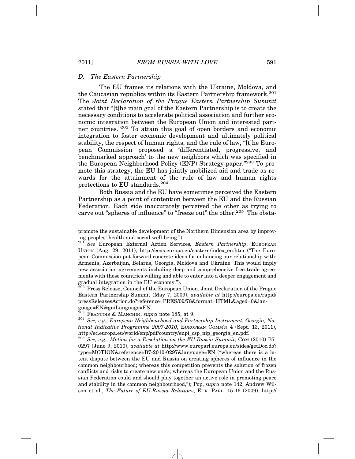#### *D. The Eastern Partnership*

The EU frames its relations with the Ukraine, Moldova, and the Caucasian republics within its Eastern Partnership framework.<sup>201</sup> The *Joint Declaration of the Prague Eastern Partnership Summit* stated that "[t]he main goal of the Eastern Partnership is to create the necessary conditions to accelerate political association and further economic integration between the European Union and interested partner countries."202 To attain this goal of open borders and economic integration to foster economic development and ultimately political stability, the respect of human rights, and the rule of law, "[t]he European Commission proposed a 'differentiated, progressive, and benchmarked approach' to the new neighbors which was specified in the European Neighborhood Policy (ENP) Strategy paper."203 To promote this strategy, the EU has jointly mobilized aid and trade as rewards for the attainment of the rule of law and human rights protections to EU standards.204

Both Russia and the EU have sometimes perceived the Eastern Partnership as a point of contention between the EU and the Russian Federation. Each side inaccurately perceived the other as trying to carve out "spheres of influence" to "freeze out" the other.<sup>205</sup> The obsta-

promote the sustainable development of the Northern Dimension area by improving peoples' health and social well-being.").

<sup>201</sup> *See* European External Action Services*, Eastern Partnership*, EUROPEAN UNION (Aug. 29, 2011), http://eeas.europa.eu/eastern/index\_en.htm ("The European Commission put forward concrete ideas for enhancing our relationship with: Armenia, Azerbaijan, Belarus, Georgia, Moldova and Ukraine. This would imply new association agreements including deep and comprehensive free trade agreements with those countries willing and able to enter into a deeper engagement and gradual integration in the EU economy.").

<sup>&</sup>lt;sup>202</sup> Press Release, Council of the European Union, Joint Declaration of the Prague Eastern Partnership Summit (May 7, 2009), *available at* http://europa.eu/rapid/ pressReleasesAction.do?reference=PRES/09/78&format=HTML&aged=0&language=EN&guiLanguage=EN.<br><sup>203</sup> Francois & Manchin, *supra* note 185, at 9.

<sup>&</sup>lt;sup>204</sup> See, e.g., *European Neighbourhood and Partnership Instrument: Georgia, National Indicative Programme 2007-2010*, EUROPEAN COMM'N 4 (Sept. 13, 2011), http://ec.europa.eu/world/enp/pdf/country/enpi\_csp\_nip\_georgia\_en.pdf.

<sup>205</sup> *See, e.g., Motion for a Resolution on the EU-Russia Summit*, COM (2010) B7- 0297 (June 9, 2010), *available at* http://www.europarl.europa.eu/sides/getDoc.do? type=MOTION&reference=B7-2010-0297&language=EN ("whereas there is a latent dispute between the EU and Russia on creating spheres of influence in the common neighbourhood; whereas this competition prevents the solution of frozen conflicts and risks to create new one's; whereas the European Union and the Russian Federation could and should play together an active role in promoting peace and stability in the common neighbourhood,"); Pop, *supra* note 142; Andrew Wilson et al., *The Future of EU-Russia Relations*, EUR. PARL. 15-16 (2009), http://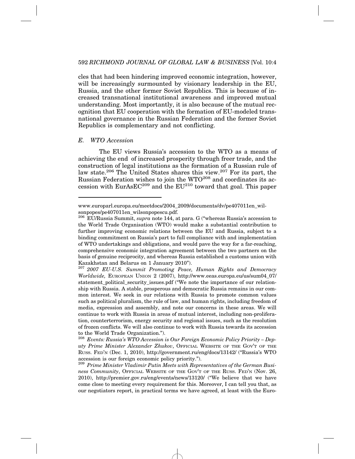cles that had been hindering improved economic integration, however, will be increasingly surmounted by visionary leadership in the EU, Russia, and the other former Soviet Republics. This is because of increased transnational institutional awareness and improved mutual understanding. Most importantly, it is also because of the mutual recognition that EU cooperation with the formation of EU-modeled transnational governance in the Russian Federation and the former Soviet Republics is complementary and not conflicting.

#### *E. WTO Accession*

The EU views Russia's accession to the WTO as a means of achieving the end of increased prosperity through freer trade, and the construction of legal institutions as the formation of a Russian rule of law state.206 The United States shares this view.207 For its part, the Russian Federation wishes to join the WTO<sup>208</sup> and coordinates its accession with  $EurAsEC^{209}$  and the  $EU^{210}$  toward that goal. This paper

www.europarl.europa.eu/meetdocs/2004\_2009/documents/dv/pe407011en\_wilsonpopes/pe407011en\_wilsonpopescu.pdf.

<sup>206</sup> EU/Russia Summit, *supra* note 144, at para. G ("whereas Russia's accession to the World Trade Organisation (WTO) would make a substantial contribution to further improving economic relations between the EU and Russia, subject to a binding commitment on Russia's part to full compliance with and implementation of WTO undertakings and obligations, and would pave the way for a far-reaching, comprehensive economic integration agreement between the two partners on the basis of genuine reciprocity, and whereas Russia established a customs union with Kazakhstan and Belarus on 1 January 2010").

<sup>207</sup> *2007 EU-U.S. Summit Promoting Peace, Human Rights and Democracy Worldwide,* EUROPEAN UNION 2 (2007), http://www.eeas.europa.eu/us/sum04\_07/ statement\_political\_security\_issues.pdf ("We note the importance of our relationship with Russia. A stable, prosperous and democratic Russia remains in our common interest. We seek in our relations with Russia to promote common values such as political pluralism, the rule of law, and human rights, including freedom of media, expression and assembly, and note our concerns in these areas. We will continue to work with Russia in areas of mutual interest, including non-proliferation, counterterrorism, energy security and regional issues, such as the resolution of frozen conflicts. We will also continue to work with Russia towards its accession to the World Trade Organization.").

<sup>208</sup> *Events: Russia's WTO Accession is Our Foreign Economic Policy Priority – Deputy Prime Minister Alexander Zhukov*, OFFICIAL WEBSITE OF THE GOV'T OF THE RUSS. FED'N (Dec. 1, 2010), http://government.ru/eng/docs/13142/ ("Russia's WTO accession is our foreign economic policy priority.").

<sup>209</sup> *Prime Minister Vladimir Putin Meets with Representatives of the German Business Community*, OFFICIAL WEBSITE OF THE GOV'T OF THE RUSS. FED'N (Nov. 26, 2010), http://premier.gov.ru/eng/events/news/13120/ ("We believe that we have come close to meeting every requirement for this. Moreover, I can tell you that, as our negotiators report, in practical terms we have agreed, at least with the Euro-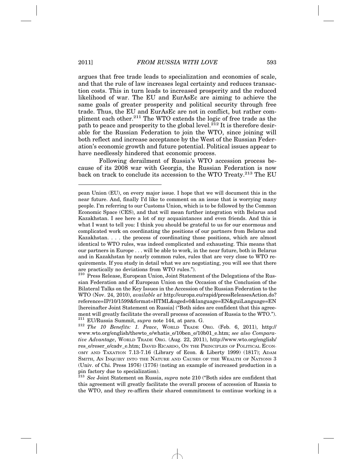argues that free trade leads to specialization and economies of scale, and that the rule of law increases legal certainty and reduces transaction costs. This in turn leads to increased prosperity and the reduced likelihood of war. The EU and EurAsEc are aiming to achieve the same goals of greater prosperity and political security through free trade. Thus, the EU and EurAsEc are not in conflict, but rather compliment each other.<sup>211</sup> The WTO extends the logic of free trade as the path to peace and prosperity to the global level.<sup>212</sup> It is therefore desirable for the Russian Federation to join the WTO, since joining will both reflect and increase acceptance by the West of the Russian Federation's economic growth and future potential. Political issues appear to have needlessly hindered that economic process.

Following derailment of Russia's WTO accession process because of its 2008 war with Georgia, the Russian Federation is now back on track to conclude its accession to the WTO Treaty.<sup>213</sup> The EU

pean Union (EU), on every major issue. I hope that we will document this in the near future. And, finally I'd like to comment on an issue that is worrying many people. I'm referring to our Customs Union, which is to be followed by the Common Economic Space (CES), and that will mean further integration with Belarus and Kazakhstan. I see here a lot of my acquaintances and even friends. And this is what I want to tell you: I think you should be grateful to us for our enormous and complicated work on coordinating the positions of our partners from Belarus and Kazakhstan. . . . the process of coordinating those positions, which are almost identical to WTO rules, was indeed complicated and exhausting. This means that our partners in Europe . . . will be able to work, in the near future, both in Belarus and in Kazakhstan by nearly common rules, rules that are very close to WTO requirements. If you study in detail what we are negotiating, you will see that there are practically no deviations from WTO rules.").

<sup>&</sup>lt;sup>210</sup> Press Release, European Union, Joint Statement of the Delegations of the Russian Federation and of European Union on the Occasion of the Conclusion of the Bilateral Talks on the Key Issues in the Accession of the Russian Federation to the WTO (Nov. 24, 2010), *available at* http://europa.eu/rapid/pressReleasesAction.do? reference=IP/10/1599&format=HTML&aged=0&language=EN&guiLanguage=EN [hereinafter Joint Statement on Russia] ("Both sides are confident that this agreement will greatly facilitate the overall process of accession of Russia to the WTO.").<br><sup>211</sup> EU/Russia Summit, *supra* note 144, at para. G.

<sup>&</sup>lt;sup>212</sup> The 10 Benefits: 1. Peace, WORLD TRADE ORG. (Feb. 6, 2011), http:// www.wto.org/english/thewto\_e/whatis\_e/10ben\_e/10b01\_e.htm; *see also Comparative Advantage*, WORLD TRADE ORG. (Aug. 22, 2011), http://www.wto.org/english/ res\_e/reser\_e/cadv\_e.htm; DAVID RICARDO, ON THE PRINCIPLES OF POLITICAL ECON-OMY AND TAXATION 7.13-7.16 (Library of Econ. & Liberty 1999) (1817); ADAM SMITH, AN INQUIRY INTO THE NATURE AND CAUSES OF THE WEALTH OF NATIONS 3 (Univ. of Chi. Press 1976) (1776) (noting an example of increased production in a pin factory due to specialization).

<sup>213</sup> *See* Joint Statement on Russia, *supra* note 210 ("Both sides are confident that this agreement will greatly facilitate the overall process of accession of Russia to the WTO, and they re-affirm their shared commitment to continue working in a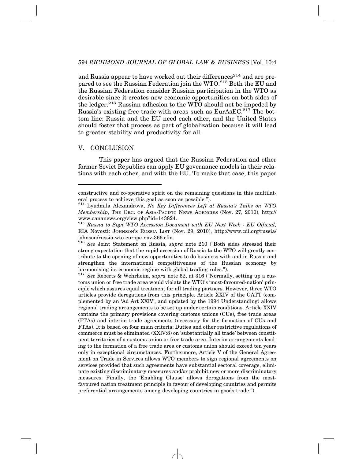and Russia appear to have worked out their differences<sup>214</sup> and are prepared to see the Russian Federation join the WTO.<sup>215</sup> Both the EU and the Russian Federation consider Russian participation in the WTO as desirable since it creates new economic opportunities on both sides of the ledger.<sup>216</sup> Russian adhesion to the WTO should not be impeded by Russia's existing free trade with areas such as  $EurAsEC.<sup>217</sup>$  The bottom line: Russia and the EU need each other, and the United States should foster that process as part of globalization because it will lead to greater stability and productivity for all.

#### V. CONCLUSION

This paper has argued that the Russian Federation and other former Soviet Republics can apply EU governance models in their relations with each other, and with the EU. To make that case, this paper

constructive and co-operative spirit on the remaining questions in this multilateral process to achieve this goal as soon as possible.").

<sup>214</sup> Lyudmila Alexandrova, *No Key Differences Left at Russia's Talks on WTO Membership*, THE ORG. OF ASIA-PACIFIC NEWS AGENCIES (Nov. 27, 2010), http:// www.oananews.org/view.php?id=143824.

<sup>215</sup> *Russia to Sign WTO Accession Document with EU Next Week - EU Official,* RIA Novosti: JOHNSON'S RUSSIA LIST (Nov. 29, 2010), http://www.cdi.org/russia/ johnson/russia-wto-europe-nov-366.cfm.

<sup>216</sup> *See* Joint Statement on Russia, *supra* note 210 ("Both sides stressed their strong expectation that the rapid accession of Russia to the WTO will greatly contribute to the opening of new opportunities to do business with and in Russia and strengthen the international competitiveness of the Russian economy by harmonising its economic regime with global trading rules.").

<sup>217</sup> *See* Roberts & Wehrheim, *supra* note 52, at 316 ("Normally, setting up a customs union or free trade area would violate the WTO's 'most-favoured-nation' principle which assures equal treatment for all trading partners. However, three WTO articles provide derogations from this principle. Article XXIV of the GATT (complemented by an 'Ad Art XXlV', and updated by the 1994 Understanding) allows regional trading arrangements to be set up under certain conditions. Article XXIV contains the primary provisions covering customs unions (CUs), free trade areas (FTAs) and interim trade agreements (necessary for the formation of CUs and FTAs). It is based on four main criteria: Duties and other restrictive regulations of commerce must be eliminated (XXlV:8) on 'substantially all trade' between constituent territories of a customs union or free trade area. Interim arrangements leading to the formation of a free trade area or customs union should exceed ten years only in exceptional circumstances. Furthermore, Article V of the General Agreement on Trade in Services allows WTO members to sign regional agreements on services provided that such agreements have substantial sectoral coverage, eliminate existing discriminatory measures and/or prohibit new or more discriminatory measures. Finally, the 'Enabling Clause' allows derogations from the mostfavoured nation treatment principle in favour of developing countries and permits preferential arrangements among developing countries in goods trade.").